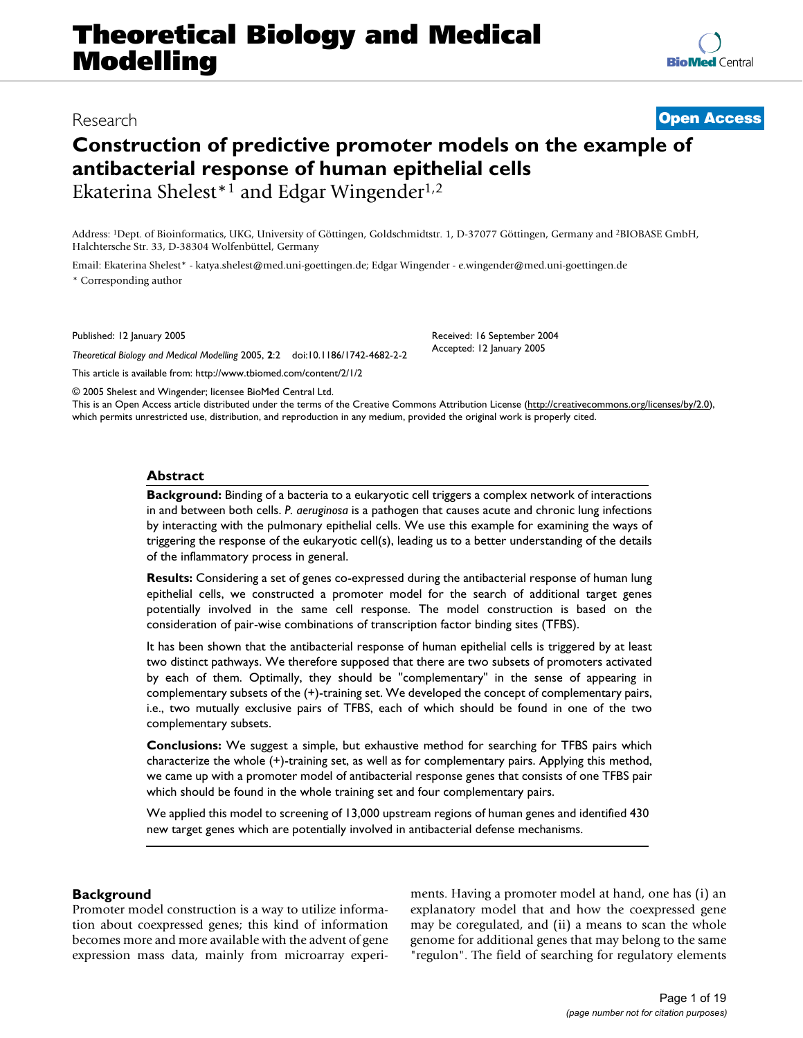# Research **[Open Access](http://www.biomedcentral.com/info/about/charter/)**

# **Construction of predictive promoter models on the example of antibacterial response of human epithelial cells** Ekaterina Shelest<sup>\*1</sup> and Edgar Wingender<sup>1,2</sup>

Address: 1Dept. of Bioinformatics, UKG, University of Göttingen, Goldschmidtstr. 1, D-37077 Göttingen, Germany and 2BIOBASE GmbH, Halchtersche Str. 33, D-38304 Wolfenbüttel, Germany

Email: Ekaterina Shelest\* - katya.shelest@med.uni-goettingen.de; Edgar Wingender - e.wingender@med.uni-goettingen.de \* Corresponding author

Published: 12 January 2005

*Theoretical Biology and Medical Modelling* 2005, **2**:2 doi:10.1186/1742-4682-2-2

[This article is available from: http://www.tbiomed.com/content/2/1/2](http://www.tbiomed.com/content/2/1/2)

Received: 16 September 2004 Accepted: 12 January 2005

© 2005 Shelest and Wingender; licensee BioMed Central Ltd.

This is an Open Access article distributed under the terms of the Creative Commons Attribution License [\(http://creativecommons.org/licenses/by/2.0\)](http://creativecommons.org/licenses/by/2.0), which permits unrestricted use, distribution, and reproduction in any medium, provided the original work is properly cited.

### **Abstract**

**Background:** Binding of a bacteria to a eukaryotic cell triggers a complex network of interactions in and between both cells. *P. aeruginosa* is a pathogen that causes acute and chronic lung infections by interacting with the pulmonary epithelial cells. We use this example for examining the ways of triggering the response of the eukaryotic cell(s), leading us to a better understanding of the details of the inflammatory process in general.

**Results:** Considering a set of genes co-expressed during the antibacterial response of human lung epithelial cells, we constructed a promoter model for the search of additional target genes potentially involved in the same cell response. The model construction is based on the consideration of pair-wise combinations of transcription factor binding sites (TFBS).

It has been shown that the antibacterial response of human epithelial cells is triggered by at least two distinct pathways. We therefore supposed that there are two subsets of promoters activated by each of them. Optimally, they should be "complementary" in the sense of appearing in complementary subsets of the (+)-training set. We developed the concept of complementary pairs, i.e., two mutually exclusive pairs of TFBS, each of which should be found in one of the two complementary subsets.

**Conclusions:** We suggest a simple, but exhaustive method for searching for TFBS pairs which characterize the whole (+)-training set, as well as for complementary pairs. Applying this method, we came up with a promoter model of antibacterial response genes that consists of one TFBS pair which should be found in the whole training set and four complementary pairs.

We applied this model to screening of 13,000 upstream regions of human genes and identified 430 new target genes which are potentially involved in antibacterial defense mechanisms.

### **Background**

Promoter model construction is a way to utilize information about coexpressed genes; this kind of information becomes more and more available with the advent of gene expression mass data, mainly from microarray experiments. Having a promoter model at hand, one has (i) an explanatory model that and how the coexpressed gene may be coregulated, and (ii) a means to scan the whole genome for additional genes that may belong to the same "regulon". The field of searching for regulatory elements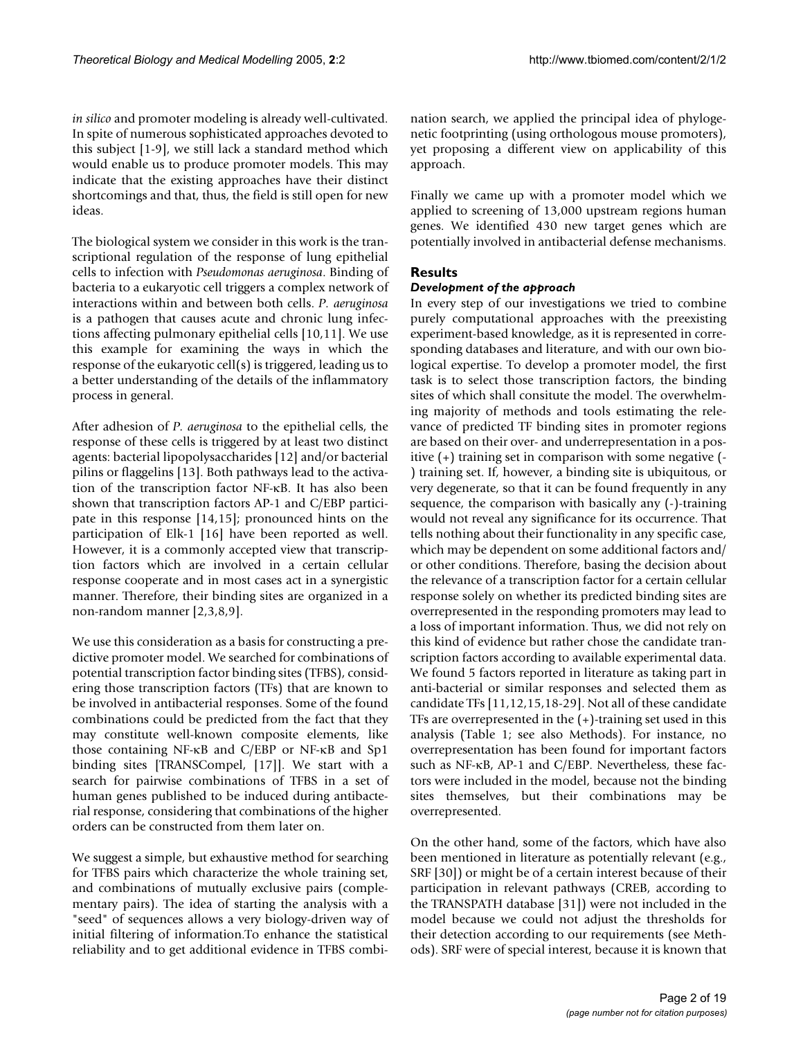*in silico* and promoter modeling is already well-cultivated. In spite of numerous sophisticated approaches devoted to this subject [1-9], we still lack a standard method which would enable us to produce promoter models. This may indicate that the existing approaches have their distinct shortcomings and that, thus, the field is still open for new ideas.

The biological system we consider in this work is the transcriptional regulation of the response of lung epithelial cells to infection with *Pseudomonas aeruginosa*. Binding of bacteria to a eukaryotic cell triggers a complex network of interactions within and between both cells. *P. aeruginosa* is a pathogen that causes acute and chronic lung infections affecting pulmonary epithelial cells [10,[11\]](#page-16-0). We use this example for examining the ways in which the response of the eukaryotic cell(s) is triggered, leading us to a better understanding of the details of the inflammatory process in general.

After adhesion of *P. aeruginosa* to the epithelial cells, the response of these cells is triggered by at least two distinct agents: bacterial lipopolysaccharides [12] and/or bacterial pilins or flaggelins [13]. Both pathways lead to the activation of the transcription factor NF-κB. It has also been shown that transcription factors AP-1 and C/EBP participate in this response [14[,15](#page-16-1)]; pronounced hints on the participation of Elk-1 [16] have been reported as well. However, it is a commonly accepted view that transcription factors which are involved in a certain cellular response cooperate and in most cases act in a synergistic manner. Therefore, their binding sites are organized in a non-random manner [2,3,8,9].

We use this consideration as a basis for constructing a predictive promoter model. We searched for combinations of potential transcription factor binding sites (TFBS), considering those transcription factors (TFs) that are known to be involved in antibacterial responses. Some of the found combinations could be predicted from the fact that they may constitute well-known composite elements, like those containing NF-κB and C/EBP or NF-κB and Sp1 binding sites [TRANSCompel, [17]]. We start with a search for pairwise combinations of TFBS in a set of human genes published to be induced during antibacterial response, considering that combinations of the higher orders can be constructed from them later on.

We suggest a simple, but exhaustive method for searching for TFBS pairs which characterize the whole training set, and combinations of mutually exclusive pairs (complementary pairs). The idea of starting the analysis with a "seed" of sequences allows a very biology-driven way of initial filtering of information.To enhance the statistical reliability and to get additional evidence in TFBS combination search, we applied the principal idea of phylogenetic footprinting (using orthologous mouse promoters), yet proposing a different view on applicability of this approach.

Finally we came up with a promoter model which we applied to screening of 13,000 upstream regions human genes. We identified 430 new target genes which are potentially involved in antibacterial defense mechanisms.

## **Results**

# *Development of the approach*

In every step of our investigations we tried to combine purely computational approaches with the preexisting experiment-based knowledge, as it is represented in corresponding databases and literature, and with our own biological expertise. To develop a promoter model, the first task is to select those transcription factors, the binding sites of which shall consitute the model. The overwhelming majority of methods and tools estimating the relevance of predicted TF binding sites in promoter regions are based on their over- and underrepresentation in a positive (+) training set in comparison with some negative (- ) training set. If, however, a binding site is ubiquitous, or very degenerate, so that it can be found frequently in any sequence, the comparison with basically any (-)-training would not reveal any significance for its occurrence. That tells nothing about their functionality in any specific case, which may be dependent on some additional factors and/ or other conditions. Therefore, basing the decision about the relevance of a transcription factor for a certain cellular response solely on whether its predicted binding sites are overrepresented in the responding promoters may lead to a loss of important information. Thus, we did not rely on this kind of evidence but rather chose the candidate transcription factors according to available experimental data. We found 5 factors reported in literature as taking part in anti-bacterial or similar responses and selected them as candidate TFs [\[11](#page-16-0),12[,15,](#page-16-1)18-29]. Not all of these candidate TFs are overrepresented in the (+)-training set used in this analysis (Table [1;](#page-2-0) see also Methods). For instance, no overrepresentation has been found for important factors such as NF-κB, AP-1 and C/EBP. Nevertheless, these factors were included in the model, because not the binding sites themselves, but their combinations may be overrepresented.

On the other hand, some of the factors, which have also been mentioned in literature as potentially relevant (e.g., SRF [30]) or might be of a certain interest because of their participation in relevant pathways (CREB, according to the TRANSPATH database [31]) were not included in the model because we could not adjust the thresholds for their detection according to our requirements (see Methods). SRF were of special interest, because it is known that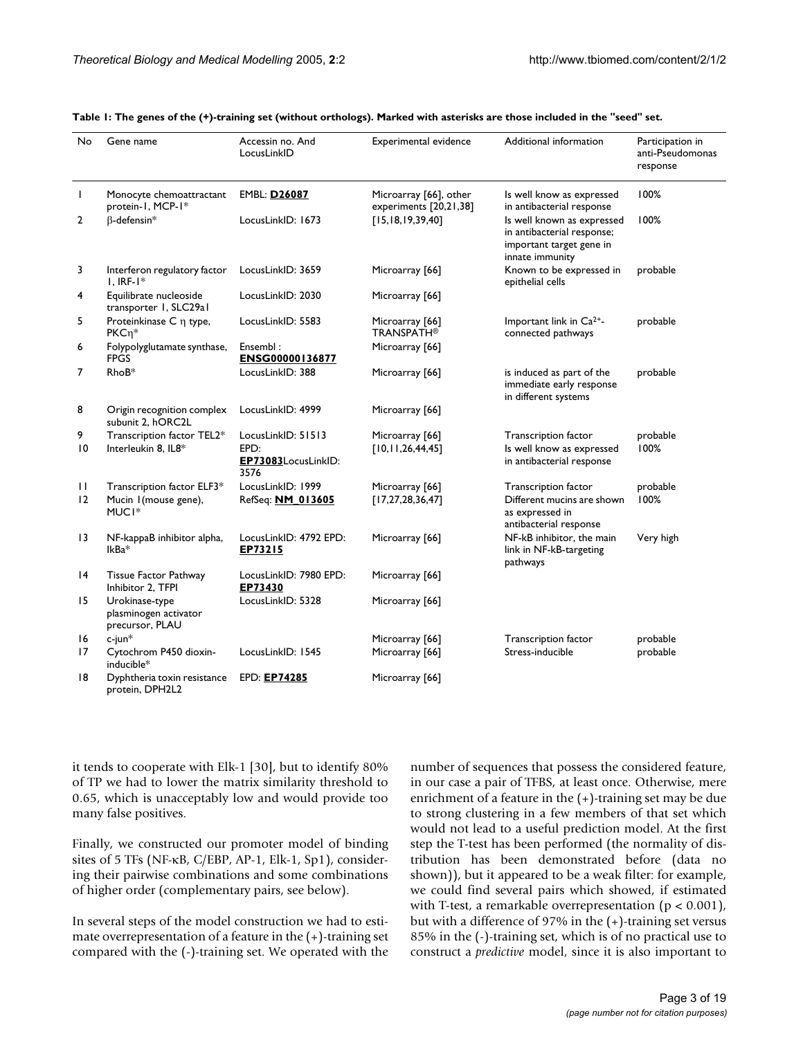| No              | Gene name                                                  | Accessin no. And<br>LocusLinkID     | Experimental evidence                            | Additional information                                                                                  | Participation in<br>anti-Pseudomonas<br>response |
|-----------------|------------------------------------------------------------|-------------------------------------|--------------------------------------------------|---------------------------------------------------------------------------------------------------------|--------------------------------------------------|
| L               | Monocyte chemoattractant<br>protein-1, MCP-1*              | EMBL: D26087                        | Microarray [66], other<br>experiments [20,21,38] | Is well know as expressed<br>in antibacterial response                                                  | 100%                                             |
| $\overline{2}$  | $\beta$ -defensin*                                         | LocusLinkID: 1673                   | [15, 18, 19, 39, 40]                             | Is well known as expressed<br>in antibacterial response;<br>important target gene in<br>innate immunity | 100%                                             |
| 3               | Interferon regulatory factor<br>$I$ , IRF- $I^*$           | LocusLinkID: 3659                   | Microarray [66]                                  | Known to be expressed in<br>epithelial cells                                                            | probable                                         |
| 4               | Equilibrate nucleoside<br>transporter 1, SLC29a1           | LocusLinkID: 2030                   | Microarray [66]                                  |                                                                                                         |                                                  |
| 5               | Proteinkinase C η type,<br>$PKCn*$                         | LocusLinkID: 5583                   | Microarray [66]<br><b>TRANSPATH®</b>             | Important link in Ca <sup>2+</sup> -<br>connected pathways                                              | probable                                         |
| 6               | Folypolyglutamate synthase,<br><b>FPGS</b>                 | Ensembl:<br>ENSG00000136877         | Microarray [66]                                  |                                                                                                         |                                                  |
| 7               | RhoB*                                                      | LocusLinkID: 388                    | Microarray [66]                                  | is induced as part of the<br>immediate early response<br>in different systems                           | probable                                         |
| 8               | Origin recognition complex<br>subunit 2, hORC2L            | LocusLinkID: 4999                   | Microarray [66]                                  |                                                                                                         |                                                  |
| 9               | Transcription factor TEL2*                                 | LocusLinkID: 51513                  | Microarray [66]                                  | Transcription factor                                                                                    | probable                                         |
| $\overline{10}$ | Interleukin 8. IL8*                                        | EPD:<br>EP73083LocusLinkID:<br>3576 | [10, 11, 26, 44, 45]                             | Is well know as expressed<br>in antibacterial response                                                  | 100%                                             |
| П               | Transcription factor ELF3*                                 | LocusLinkID: 1999                   | Microarray [66]                                  | Transcription factor                                                                                    | probable                                         |
| 12              | Mucin I (mouse gene),<br>MUC <sub>1</sub> *                | RefSeq: <b>NM_013605</b>            | [17, 27, 28, 36, 47]                             | Different mucins are shown<br>as expressed in<br>antibacterial response                                 | 100%                                             |
| $\overline{13}$ | NF-kappaB inhibitor alpha,<br>IkBa*                        | LocusLinkID: 4792 EPD:<br>EP73215   | Microarray [66]                                  | NF-kB inhibitor, the main<br>link in NF-kB-targeting<br>pathways                                        | Very high                                        |
| 4               | Tissue Factor Pathway<br>Inhibitor 2. TFPI                 | LocusLinkID: 7980 EPD:<br>EP73430   | Microarray [66]                                  |                                                                                                         |                                                  |
| 15              | Urokinase-type<br>plasminogen activator<br>precursor, PLAU | LocusLinkID: 5328                   | Microarray [66]                                  |                                                                                                         |                                                  |
| 16              | $c$ -jun $*$                                               |                                     | Microarray [66]                                  | Transcription factor                                                                                    | probable                                         |
| 17              | Cytochrom P450 dioxin-<br>inducible*                       | LocusLinkID: 1545                   | Microarray [66]                                  | Stress-inducible                                                                                        | probable                                         |
| 18              | Dyphtheria toxin resistance<br>protein, DPH2L2             | EPD: EP74285                        | Microarray [66]                                  |                                                                                                         |                                                  |

<span id="page-2-0"></span>

it tends to cooperate with Elk-1 [30], but to identify 80% of TP we had to lower the matrix similarity threshold to 0.65, which is unacceptably low and would provide too many false positives.

Finally, we constructed our promoter model of binding sites of 5 TFs (NF-κB, C/EBP, AP-1, Elk-1, Sp1), considering their pairwise combinations and some combinations of higher order (complementary pairs, see below).

In several steps of the model construction we had to estimate overrepresentation of a feature in the (+)-training set compared with the (-)-training set. We operated with the number of sequences that possess the considered feature, in our case a pair of TFBS, at least once. Otherwise, mere enrichment of a feature in the (+)-training set may be due to strong clustering in a few members of that set which would not lead to a useful prediction model. At the first step the T-test has been performed (the normality of distribution has been demonstrated before (data no shown)), but it appeared to be a weak filter: for example, we could find several pairs which showed, if estimated with T-test, a remarkable overrepresentation ( $p < 0.001$ ), but with a difference of 97% in the (+)-training set versus 85% in the (-)-training set, which is of no practical use to construct a *predictive* model, since it is also important to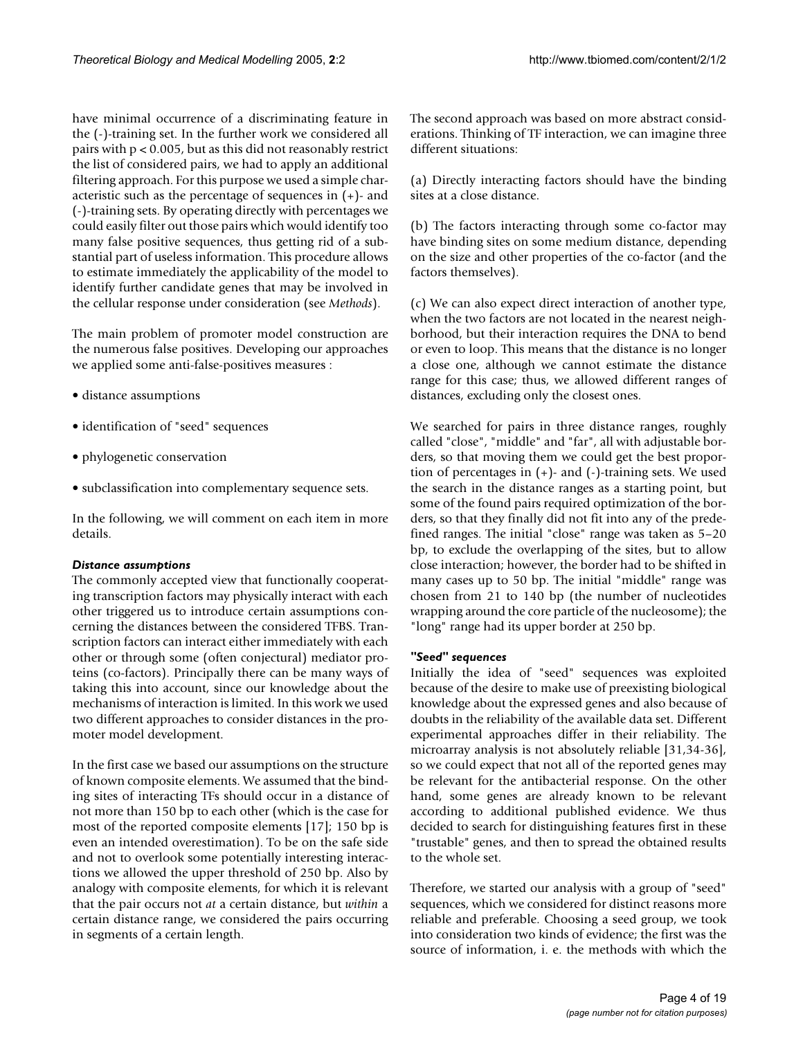have minimal occurrence of a discriminating feature in the (-)-training set. In the further work we considered all pairs with  $p < 0.005$ , but as this did not reasonably restrict the list of considered pairs, we had to apply an additional filtering approach. For this purpose we used a simple characteristic such as the percentage of sequences in (+)- and (-)-training sets. By operating directly with percentages we could easily filter out those pairs which would identify too many false positive sequences, thus getting rid of a substantial part of useless information. This procedure allows to estimate immediately the applicability of the model to identify further candidate genes that may be involved in the cellular response under consideration (see *Methods*).

The main problem of promoter model construction are the numerous false positives. Developing our approaches we applied some anti-false-positives measures :

- distance assumptions
- identification of "seed" sequences
- phylogenetic conservation
- subclassification into complementary sequence sets.

In the following, we will comment on each item in more details.

## *Distance assumptions*

The commonly accepted view that functionally cooperating transcription factors may physically interact with each other triggered us to introduce certain assumptions concerning the distances between the considered TFBS. Transcription factors can interact either immediately with each other or through some (often conjectural) mediator proteins (co-factors). Principally there can be many ways of taking this into account, since our knowledge about the mechanisms of interaction is limited. In this work we used two different approaches to consider distances in the promoter model development.

In the first case we based our assumptions on the structure of known composite elements. We assumed that the binding sites of interacting TFs should occur in a distance of not more than 150 bp to each other (which is the case for most of the reported composite elements [17]; 150 bp is even an intended overestimation). To be on the safe side and not to overlook some potentially interesting interactions we allowed the upper threshold of 250 bp. Also by analogy with composite elements, for which it is relevant that the pair occurs not *at* a certain distance, but *within* a certain distance range, we considered the pairs occurring in segments of a certain length.

The second approach was based on more abstract considerations. Thinking of TF interaction, we can imagine three different situations:

(a) Directly interacting factors should have the binding sites at a close distance.

(b) The factors interacting through some co-factor may have binding sites on some medium distance, depending on the size and other properties of the co-factor (and the factors themselves).

(c) We can also expect direct interaction of another type, when the two factors are not located in the nearest neighborhood, but their interaction requires the DNA to bend or even to loop. This means that the distance is no longer a close one, although we cannot estimate the distance range for this case; thus, we allowed different ranges of distances, excluding only the closest ones.

We searched for pairs in three distance ranges, roughly called "close", "middle" and "far", all with adjustable borders, so that moving them we could get the best proportion of percentages in  $(+)$ - and  $(-)$ -training sets. We used the search in the distance ranges as a starting point, but some of the found pairs required optimization of the borders, so that they finally did not fit into any of the predefined ranges. The initial "close" range was taken as 5–20 bp, to exclude the overlapping of the sites, but to allow close interaction; however, the border had to be shifted in many cases up to 50 bp. The initial "middle" range was chosen from 21 to 140 bp (the number of nucleotides wrapping around the core particle of the nucleosome); the "long" range had its upper border at 250 bp.

## *"Seed" sequences*

Initially the idea of "seed" sequences was exploited because of the desire to make use of preexisting biological knowledge about the expressed genes and also because of doubts in the reliability of the available data set. Different experimental approaches differ in their reliability. The microarray analysis is not absolutely reliable [31,34-36], so we could expect that not all of the reported genes may be relevant for the antibacterial response. On the other hand, some genes are already known to be relevant according to additional published evidence. We thus decided to search for distinguishing features first in these "trustable" genes, and then to spread the obtained results to the whole set.

Therefore, we started our analysis with a group of "seed" sequences, which we considered for distinct reasons more reliable and preferable. Choosing a seed group, we took into consideration two kinds of evidence; the first was the source of information, i. e. the methods with which the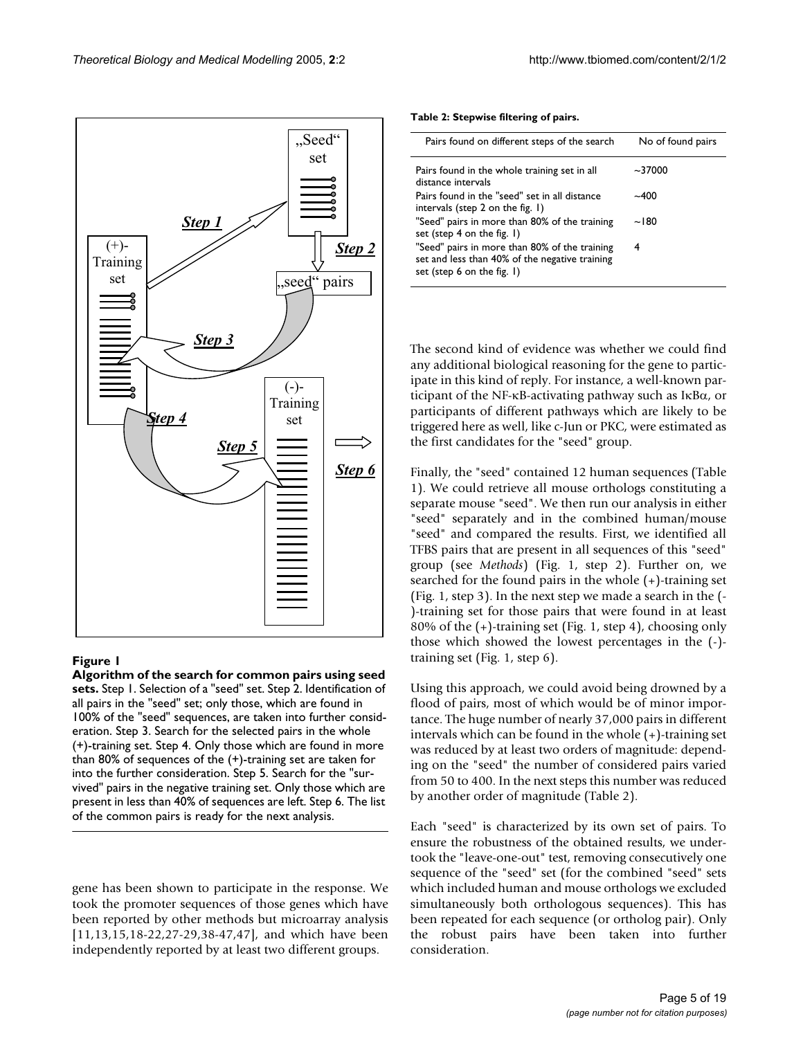

### Figure 1

**Algorithm of the search for common pairs using seed sets.** Step 1. Selection of a "seed" set. Step 2. Identification of all pairs in the "seed" set; only those, which are found in 100% of the "seed" sequences, are taken into further consideration. Step 3. Search for the selected pairs in the whole (+)-training set. Step 4. Only those which are found in more than 80% of sequences of the (+)-training set are taken for into the further consideration. Step 5. Search for the "survived" pairs in the negative training set. Only those which are present in less than 40% of sequences are left. Step 6. The list of the common pairs is ready for the next analysis.

gene has been shown to participate in the response. We took the promoter sequences of those genes which have been reported by other methods but microarray analysis [[11](#page-16-0),13[,15](#page-16-1),18-22,27-29,38-47,47], and which have been independently reported by at least two different groups.

|  |  | Table 2: Stepwise filtering of pairs. |  |  |  |
|--|--|---------------------------------------|--|--|--|
|--|--|---------------------------------------|--|--|--|

| Pairs found on different steps of the search                                                                                    | No of found pairs |
|---------------------------------------------------------------------------------------------------------------------------------|-------------------|
| Pairs found in the whole training set in all<br>distance intervals                                                              | $-37000$          |
| Pairs found in the "seed" set in all distance<br>intervals (step 2 on the fig. 1)                                               | $-400$            |
| "Seed" pairs in more than 80% of the training<br>set (step 4 on the fig. $I$ )                                                  | ~180              |
| "Seed" pairs in more than 80% of the training<br>set and less than 40% of the negative training<br>set (step $6$ on the fig. 1) | 4                 |

The second kind of evidence was whether we could find any additional biological reasoning for the gene to participate in this kind of reply. For instance, a well-known participant of the NF-κB-activating pathway such as IκBα, or participants of different pathways which are likely to be triggered here as well, like c-Jun or PKC, were estimated as the first candidates for the "seed" group.

Finally, the "seed" contained 12 human sequences (Table [1](#page-2-0)). We could retrieve all mouse orthologs constituting a separate mouse "seed". We then run our analysis in either "seed" separately and in the combined human/mouse "seed" and compared the results. First, we identified all TFBS pairs that are present in all sequences of this "seed" group (see *Methods*) (Fig. 1, step 2). Further on, we searched for the found pairs in the whole (+)-training set (Fig. 1, step 3). In the next step we made a search in the (- )-training set for those pairs that were found in at least 80% of the (+)-training set (Fig. 1, step 4), choosing only those which showed the lowest percentages in the (-) training set (Fig. 1, step 6).

Using this approach, we could avoid being drowned by a flood of pairs, most of which would be of minor importance. The huge number of nearly 37,000 pairs in different intervals which can be found in the whole (+)-training set was reduced by at least two orders of magnitude: depending on the "seed" the number of considered pairs varied from 50 to 400. In the next steps this number was reduced by another order of magnitude (Table 2).

Each "seed" is characterized by its own set of pairs. To ensure the robustness of the obtained results, we undertook the "leave-one-out" test, removing consecutively one sequence of the "seed" set (for the combined "seed" sets which included human and mouse orthologs we excluded simultaneously both orthologous sequences). This has been repeated for each sequence (or ortholog pair). Only the robust pairs have been taken into further consideration.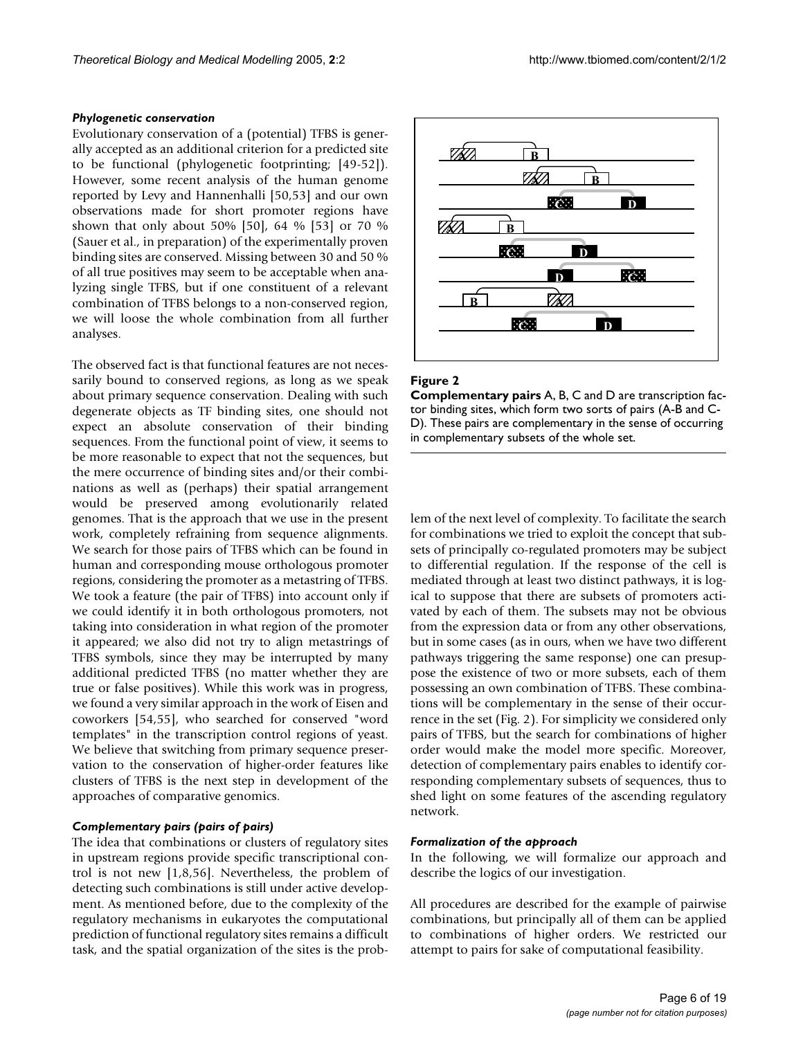#### *Phylogenetic conservation*

Evolutionary conservation of a (potential) TFBS is generally accepted as an additional criterion for a predicted site to be functional (phylogenetic footprinting; [49-52]). However, some recent analysis of the human genome reported by Levy and Hannenhalli [50,53] and our own observations made for short promoter regions have shown that only about 50% [50], 64 % [53] or 70 % (Sauer et al., in preparation) of the experimentally proven binding sites are conserved. Missing between 30 and 50 % of all true positives may seem to be acceptable when analyzing single TFBS, but if one constituent of a relevant combination of TFBS belongs to a non-conserved region, we will loose the whole combination from all further analyses.

The observed fact is that functional features are not necessarily bound to conserved regions, as long as we speak about primary sequence conservation. Dealing with such degenerate objects as TF binding sites, one should not expect an absolute conservation of their binding sequences. From the functional point of view, it seems to be more reasonable to expect that not the sequences, but the mere occurrence of binding sites and/or their combinations as well as (perhaps) their spatial arrangement would be preserved among evolutionarily related genomes. That is the approach that we use in the present work, completely refraining from sequence alignments. We search for those pairs of TFBS which can be found in human and corresponding mouse orthologous promoter regions, considering the promoter as a metastring of TFBS. We took a feature (the pair of TFBS) into account only if we could identify it in both orthologous promoters, not taking into consideration in what region of the promoter it appeared; we also did not try to align metastrings of TFBS symbols, since they may be interrupted by many additional predicted TFBS (no matter whether they are true or false positives). While this work was in progress, we found a very similar approach in the work of Eisen and coworkers [54,55], who searched for conserved "word templates" in the transcription control regions of yeast. We believe that switching from primary sequence preservation to the conservation of higher-order features like clusters of TFBS is the next step in development of the approaches of comparative genomics.

#### *Complementary pairs (pairs of pairs)*

The idea that combinations or clusters of regulatory sites in upstream regions provide specific transcriptional control is not new [1,8,56]. Nevertheless, the problem of detecting such combinations is still under active development. As mentioned before, due to the complexity of the regulatory mechanisms in eukaryotes the computational prediction of functional regulatory sites remains a difficult task, and the spatial organization of the sites is the prob-



#### **Figure 2**

**Complementary pairs** A, B, C and D are transcription factor binding sites, which form two sorts of pairs (A-B and C-D). These pairs are complementary in the sense of occurring in complementary subsets of the whole set.

lem of the next level of complexity. To facilitate the search for combinations we tried to exploit the concept that subsets of principally co-regulated promoters may be subject to differential regulation. If the response of the cell is mediated through at least two distinct pathways, it is logical to suppose that there are subsets of promoters activated by each of them. The subsets may not be obvious from the expression data or from any other observations, but in some cases (as in ours, when we have two different pathways triggering the same response) one can presuppose the existence of two or more subsets, each of them possessing an own combination of TFBS. These combinations will be complementary in the sense of their occurrence in the set (Fig. 2). For simplicity we considered only pairs of TFBS, but the search for combinations of higher order would make the model more specific. Moreover, detection of complementary pairs enables to identify corresponding complementary subsets of sequences, thus to shed light on some features of the ascending regulatory network.

#### *Formalization of the approach*

In the following, we will formalize our approach and describe the logics of our investigation.

All procedures are described for the example of pairwise combinations, but principally all of them can be applied to combinations of higher orders. We restricted our attempt to pairs for sake of computational feasibility.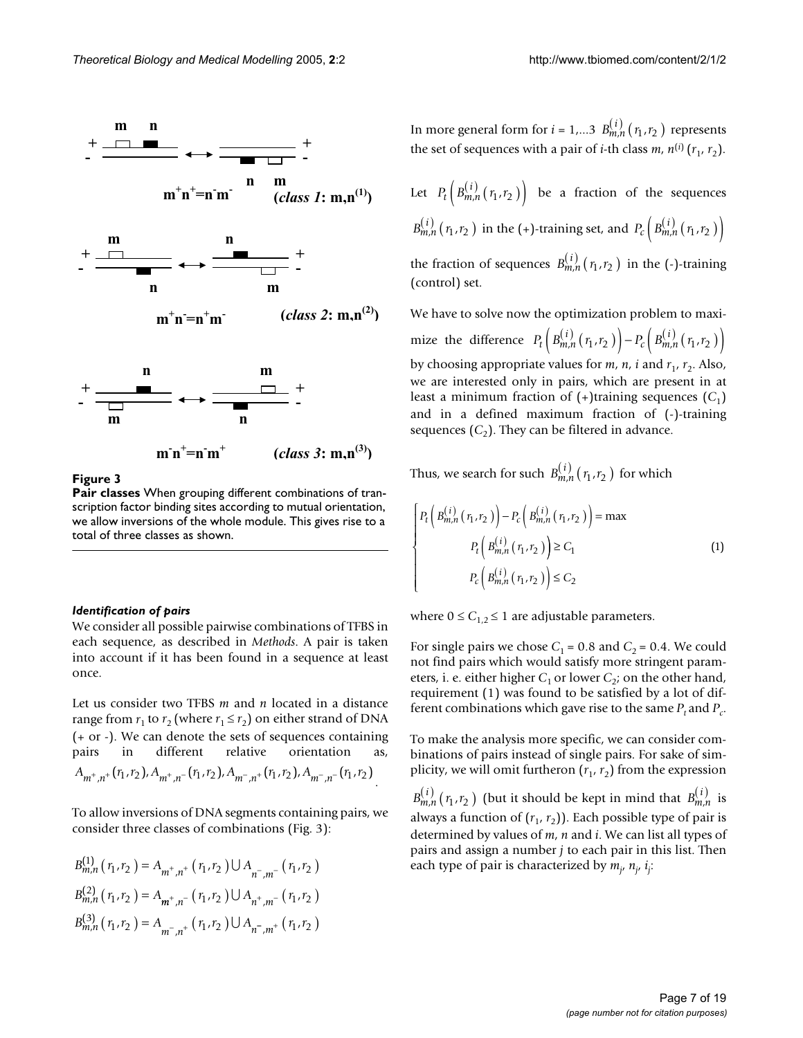

### **Figure 3**

**Pair classes** When grouping different combinations of transcription factor binding sites according to mutual orientation, we allow inversions of the whole module. This gives rise to a total of three classes as shown.

#### *Identification of pairs*

We consider all possible pairwise combinations of TFBS in each sequence, as described in *Methods*. A pair is taken into account if it has been found in a sequence at least once.

Let us consider two TFBS *m* and *n* located in a distance range from  $r_1$  to  $r_2$  (where  $r_1 \le r_2$ ) on either strand of DNA (+ or -). We can denote the sets of sequences containing pairs in different relative orientation as,  $A_{m^+,n^+}(\tau_1,\tau_2), A_{m^+,n^-}(\tau_1,\tau_2), A_{m^-,n^+}(\tau_1,\tau_2), A_{m^-,n^-}(\tau_1,\tau_2)$ 

To allow inversions of DNA segments containing pairs, we consider three classes of combinations (Fig. 3):

$$
B_{m,n}^{(1)}(\tau_1, r_2) = A_{m^+, n^+}(\tau_1, r_2) \cup A_{n^-, m^-}(\tau_1, r_2)
$$
  
\n
$$
B_{m,n}^{(2)}(\tau_1, r_2) = A_{m^+, n^-}(\tau_1, r_2) \cup A_{n^+, m^-}(\tau_1, r_2)
$$
  
\n
$$
B_{m,n}^{(3)}(\tau_1, r_2) = A_{m^-, n^+}(\tau_1, r_2) \cup A_{n^-, m^+}(\tau_1, r_2)
$$

In more general form for  $i = 1,...3$   $B_{m,n}^{(i)}(\tau_1, \tau_2)$  represents the set of sequences with a pair of *i*-th class  $m$ ,  $n^{(i)}$  ( $r_1$ ,  $r_2$ ).

Let  $P_t\left(B_{m,n}^{(i)}(\tau_1,\tau_2)\right)$  be a fraction of the sequences  $B_{m,n}^{(i)}(r_1,r_2)$  in the (+)-training set, and  $P_c\left(B_{m,n}^{(i)}(r_1,r_2)\right)$ the fraction of sequences  $B_{m,n}^{(i)}(\tau_1, \tau_2)$  in the (-)-training (control) set.

We have to solve now the optimization problem to maximize the difference  $P_t\left(B_{m,n}^{(i)}(\tau_1,\tau_2)\right)-P_c\left(B_{m,n}^{(i)}(\tau_1,\tau_2)\right)$ by choosing appropriate values for  $m$ ,  $n$ ,  $i$  and  $r_1$ ,  $r_2$ . Also, we are interested only in pairs, which are present in at least a minimum fraction of  $(+)$ training sequences  $(C_1)$ and in a defined maximum fraction of (-)-training sequences  $(C_2)$ . They can be filtered in advance.

Thus, we search for such  $B_{m,n}^{(i)}(\mathbf{r}_1,\mathbf{r}_2)$  for which

$$
\begin{cases}\nP_t\left(B_{m,n}^{(i)}\left(\tau_1,\tau_2\right)\right)-P_c\left(B_{m,n}^{(i)}\left(\tau_1,\tau_2\right)\right)=\max \\
P_t\left(B_{m,n}^{(i)}\left(\tau_1,\tau_2\right)\right)\geq C_1 \\
P_c\left(B_{m,n}^{(i)}\left(\tau_1,\tau_2\right)\right)\leq C_2\n\end{cases} \tag{1}
$$

where  $0 \le C_{1,2} \le 1$  are adjustable parameters.

For single pairs we chose  $C_1 = 0.8$  and  $C_2 = 0.4$ . We could not find pairs which would satisfy more stringent parameters, i. e. either higher  $C_1$  or lower  $C_2$ ; on the other hand, requirement (1) was found to be satisfied by a lot of different combinations which gave rise to the same  $P_t$  and  $P_c$ .

To make the analysis more specific, we can consider combinations of pairs instead of single pairs. For sake of simplicity, we will omit furtheron  $(r_1, r_2)$  from the expression

 $B_{m,n}^{(i)}(\tau_1, \tau_2)$  (but it should be kept in mind that  $B_{m,n}^{(i)}$  is always a function of  $(r_1, r_2)$ ). Each possible type of pair is determined by values of *m*, *n* and *i*. We can list all types of pairs and assign a number *j* to each pair in this list. Then each type of pair is characterized by  $m_j$ ,  $n_j$ , *i*<sub>j</sub>: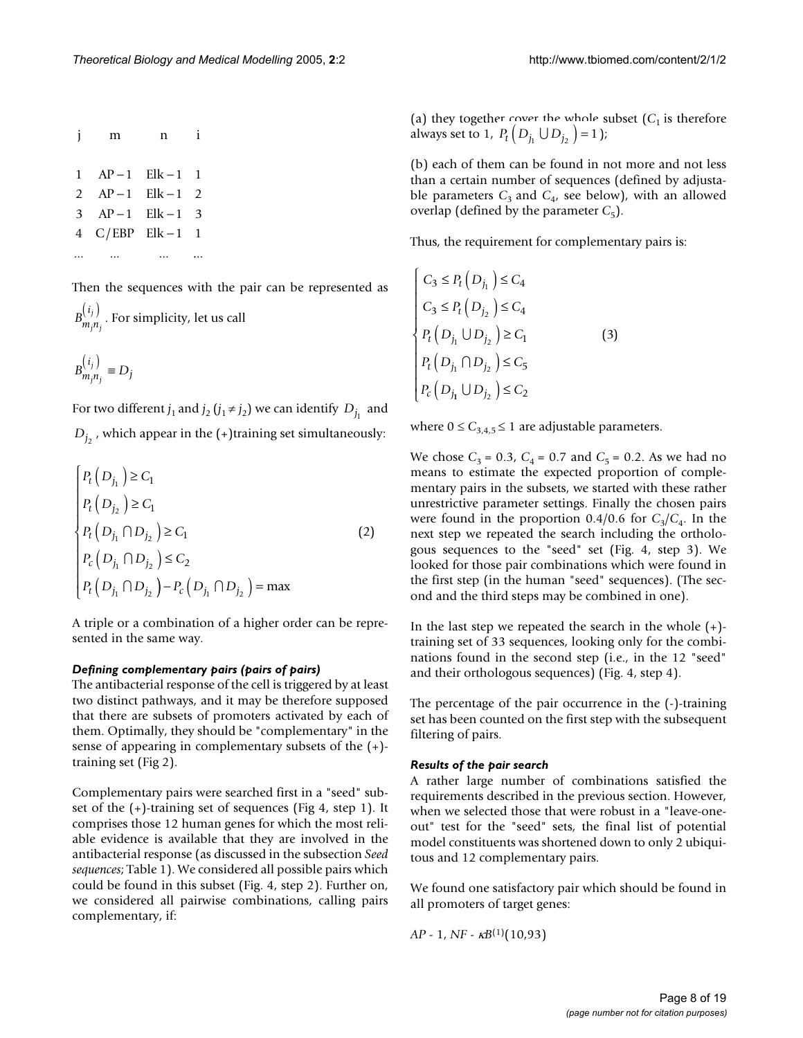jm ni  $1 \quad AP-1 \quad Elk-1 \quad 1$  $2 \text{ AP} - 1 \text{ Elk} - 1 2$  $AP-1$  $4$  C/EBP Elk -1 1  $3 \text{ AP}-1 \text{Elk}-1 \text{3}$ ... ... ... ...

Then the sequences with the pair can be represented as

$$
B_{m_j n_j}^{(i_j)}
$$
. For simplicity, let us call

$$
B_{m_j n_j}^{(i_j)} \equiv D_j
$$

For two different  $j_1$  and  $j_2$   $(j_1 \neq j_2)$  we can identify  $D_{j_1}$  and  $D_{j_2}$ , which appear in the  $(+)$ training set simultaneously:

$$
\begin{cases}\nP_t(D_{j_1}) \ge C_1 \\
P_t(D_{j_2}) \ge C_1 \\
P_t(D_{j_1} \cap D_{j_2}) \ge C_1 \\
P_c(D_{j_1} \cap D_{j_2}) \le C_2 \\
P_t(D_{j_1} \cap D_{j_2}) - P_c(D_{j_1} \cap D_{j_2}) = \max\n\end{cases}
$$
\n(2)

A triple or a combination of a higher order can be represented in the same way.

#### *Defining complementary pairs (pairs of pairs)*

The antibacterial response of the cell is triggered by at least two distinct pathways, and it may be therefore supposed that there are subsets of promoters activated by each of them. Optimally, they should be "complementary" in the sense of appearing in complementary subsets of the (+) training set (Fig 2).

Complementary pairs were searched first in a "seed" subset of the (+)-training set of sequences (Fig [4,](#page-8-0) step 1). It comprises those 12 human genes for which the most reliable evidence is available that they are involved in the antibacterial response (as discussed in the subsection *Seed sequences*; Table [1](#page-2-0)). We considered all possible pairs which could be found in this subset (Fig. [4](#page-8-0), step 2). Further on, we considered all pairwise combinations, calling pairs complementary, if:

(a) they together cover the whole subset  $(C_1$  is therefore always set to 1,  $P_t ( D_{j_1} \cup D_{j_2} ) = 1$  );

(b) each of them can be found in not more and not less than a certain number of sequences (defined by adjustable parameters  $C_3$  and  $C_4$ , see below), with an allowed overlap (defined by the parameter  $C_5$ ).

Thus, the requirement for complementary pairs is:

$$
C_3 \le P_t(D_{j_1}) \le C_4
$$
  
\n
$$
C_3 \le P_t(D_{j_2}) \le C_4
$$
  
\n
$$
P_t(D_{j_1} \cup D_{j_2}) \ge C_1
$$
  
\n
$$
P_t(D_{j_1} \cap D_{j_2}) \le C_5
$$
  
\n
$$
P_c(D_{j_1} \cup D_{j_2}) \le C_2
$$
 (3)

where  $0 \leq C_{3,4,5} \leq 1$  are adjustable parameters.

We chose  $C_3 = 0.3$ ,  $C_4 = 0.7$  and  $C_5 = 0.2$ . As we had no means to estimate the expected proportion of complementary pairs in the subsets, we started with these rather unrestrictive parameter settings. Finally the chosen pairs were found in the proportion 0.4/0.6 for  $C_3/C_4$ . In the next step we repeated the search including the orthologous sequences to the "seed" set (Fig. [4](#page-8-0), step 3). We looked for those pair combinations which were found in the first step (in the human "seed" sequences). (The second and the third steps may be combined in one).

In the last step we repeated the search in the whole  $(+)$ training set of 33 sequences, looking only for the combinations found in the second step (i.e., in the 12 "seed" and their orthologous sequences) (Fig. [4](#page-8-0), step 4).

The percentage of the pair occurrence in the (-)-training set has been counted on the first step with the subsequent filtering of pairs.

#### *Results of the pair search*

A rather large number of combinations satisfied the requirements described in the previous section. However, when we selected those that were robust in a "leave-oneout" test for the "seed" sets, the final list of potential model constituents was shortened down to only 2 ubiquitous and 12 complementary pairs.

We found one satisfactory pair which should be found in all promoters of target genes:

*AP* - 1, *NF* - κ*B*(1)(10,93)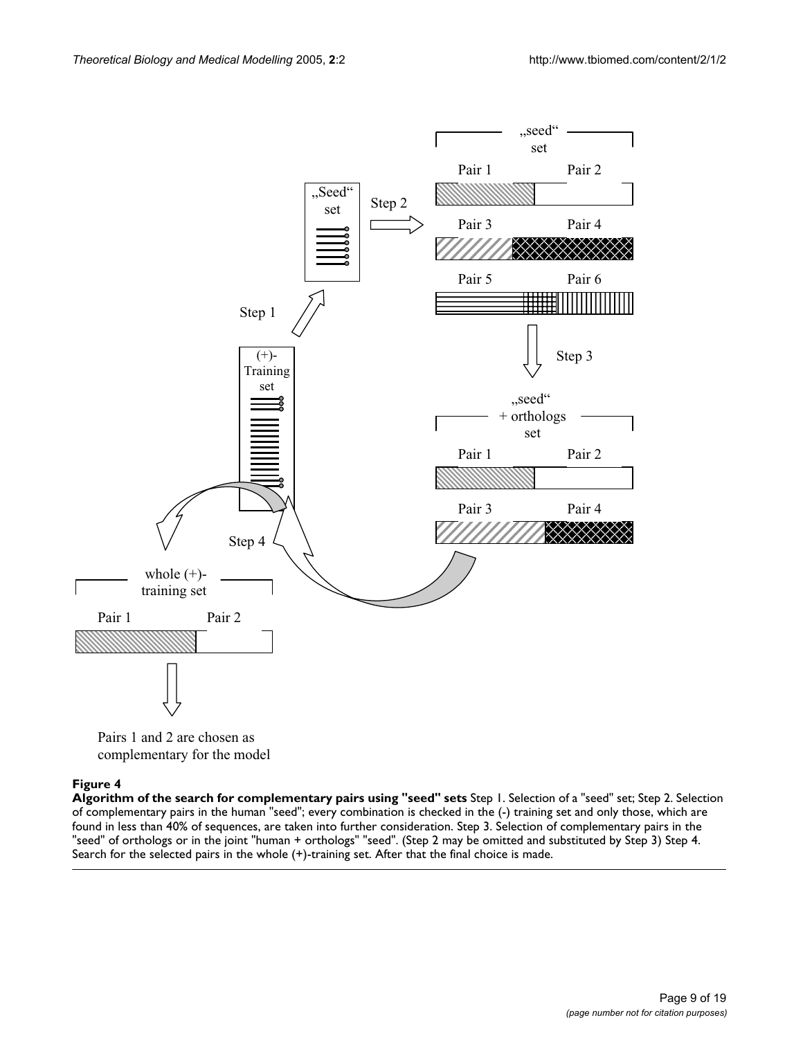<span id="page-8-0"></span>

Pairs 1 and 2 are chosen as complementary for the model

# Figure 4

**Algorithm of the search for complementary pairs using "seed" sets** Step 1. Selection of a "seed" set; Step 2. Selection of complementary pairs in the human "seed"; every combination is checked in the (-) training set and only those, which are found in less than 40% of sequences, are taken into further consideration. Step 3. Selection of complementary pairs in the "seed" of orthologs or in the joint "human + orthologs" "seed". (Step 2 may be omitted and substituted by Step 3) Step 4. Search for the selected pairs in the whole (+)-training set. After that the final choice is made.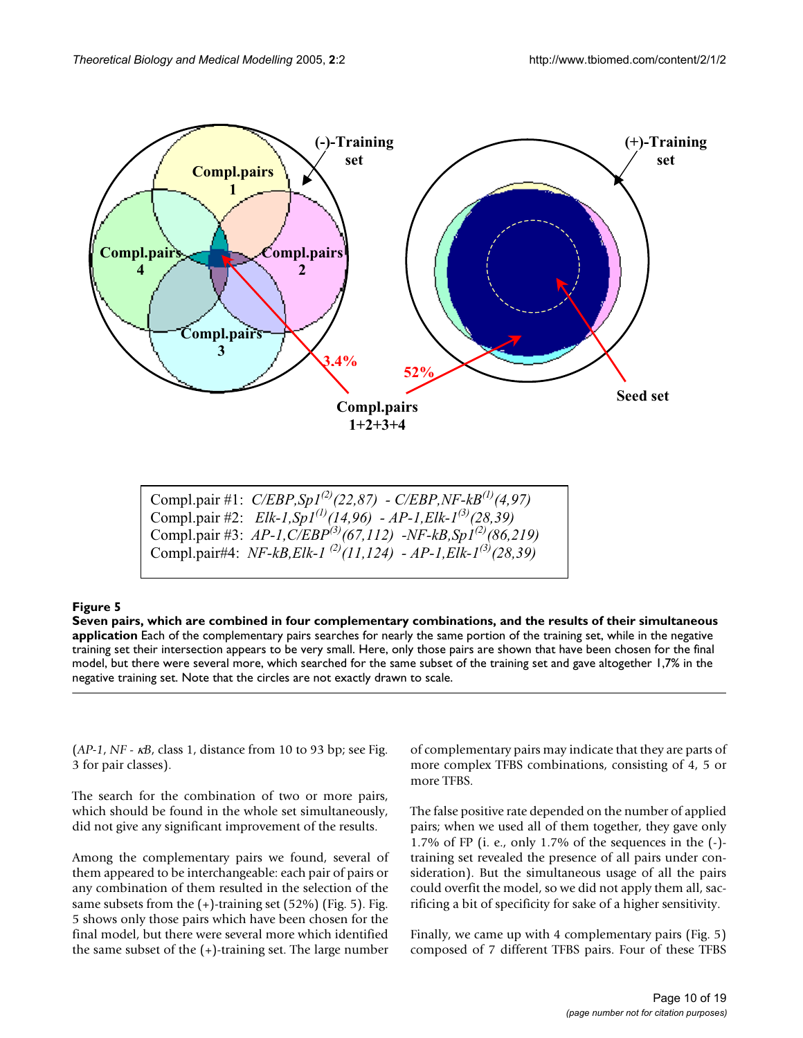



Compl.pair #3: *AP-1,C/EBP(3)(67,112) -NF-kB,Sp1(2)(86,219)* Compl.pair#4: *NF-kB,Elk-1 (2)(11,124) - AP-1,Elk-1(3)(28,39)*

# Seven pairs, which are combined in four complementary comb **Figure 5** inations, and the results of their simultaneous application

**Seven pairs, which are combined in four complementary combinations, and the results of their simultaneous application** Each of the complementary pairs searches for nearly the same portion of the training set, while in the negative training set their intersection appears to be very small. Here, only those pairs are shown that have been chosen for the final model, but there were several more, which searched for the same subset of the training set and gave altogether 1,7% in the negative training set. Note that the circles are not exactly drawn to scale.

(*AP-1*, *NF* - κ*B*, class 1, distance from 10 to 93 bp; see Fig. 3 for pair classes).

The search for the combination of two or more pairs, which should be found in the whole set simultaneously, did not give any significant improvement of the results.

Among the complementary pairs we found, several of them appeared to be interchangeable: each pair of pairs or any combination of them resulted in the selection of the same subsets from the  $(+)$ -training set  $(52%)$  (Fig. 5). Fig. 5 shows only those pairs which have been chosen for the final model, but there were several more which identified the same subset of the  $(+)$ -training set. The large number of complementary pairs may indicate that they are parts of more complex TFBS combinations, consisting of 4, 5 or more TFBS.

The false positive rate depended on the number of applied pairs; when we used all of them together, they gave only 1.7% of FP (i. e., only 1.7% of the sequences in the (-) training set revealed the presence of all pairs under consideration). But the simultaneous usage of all the pairs could overfit the model, so we did not apply them all, sacrificing a bit of specificity for sake of a higher sensitivity.

Finally, we came up with 4 complementary pairs (Fig. 5) composed of 7 different TFBS pairs. Four of these TFBS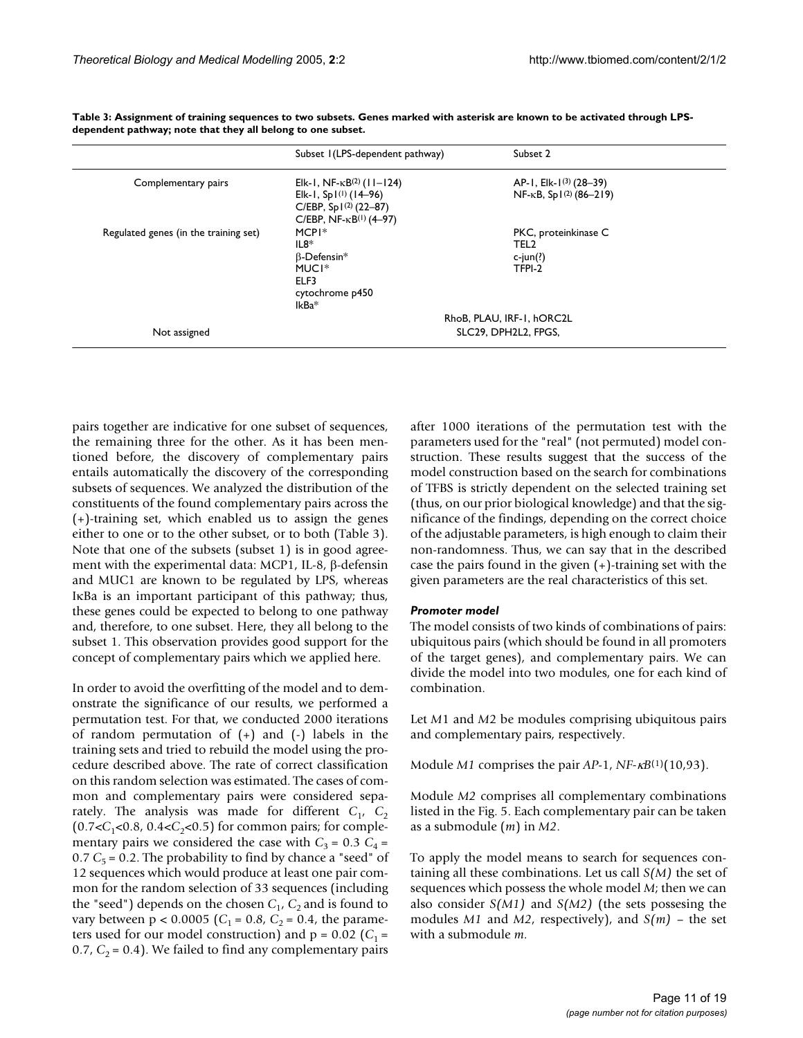|                                       | Subset I(LPS-dependent pathway)               | Subset 2                  |  |
|---------------------------------------|-----------------------------------------------|---------------------------|--|
| Complementary pairs                   | Elk-1, NF- $\kappa$ B <sup>(2)</sup> (11–124) | AP-1, Elk-1 $(3)$ (28-39) |  |
|                                       | Elk-1, Sp1 $(1)$ (14-96)                      | NF-кВ, Sp1(2) (86-219)    |  |
|                                       | C/EBP, Sp $(2)$ (22-87)                       |                           |  |
|                                       | C/EBP, NF- $\kappa$ B(1) (4-97)               |                           |  |
| Regulated genes (in the training set) | $MCPI*$                                       | PKC, proteinkinase C      |  |
|                                       | $IL8*$                                        | TEL <sub>2</sub>          |  |
|                                       | $\beta$ -Defensin*                            | $c$ -jun $(?)$            |  |
|                                       | MUC <sub>1</sub> *                            | TFPI-2                    |  |
|                                       | ELF3                                          |                           |  |
|                                       | cytochrome p450                               |                           |  |
|                                       | lkBa <sup>*</sup>                             |                           |  |
|                                       | RhoB, PLAU, IRF-1, hORC2L                     |                           |  |
| Not assigned                          |                                               | SLC29, DPH2L2, FPGS,      |  |
|                                       |                                               |                           |  |

<span id="page-10-0"></span>**Table 3: Assignment of training sequences to two subsets. Genes marked with asterisk are known to be activated through LPSdependent pathway; note that they all belong to one subset.**

pairs together are indicative for one subset of sequences, the remaining three for the other. As it has been mentioned before, the discovery of complementary pairs entails automatically the discovery of the corresponding subsets of sequences. We analyzed the distribution of the constituents of the found complementary pairs across the (+)-training set, which enabled us to assign the genes either to one or to the other subset, or to both (Table [3\)](#page-10-0). Note that one of the subsets (subset 1) is in good agreement with the experimental data: MCP1, IL-8, β-defensin and MUC1 are known to be regulated by LPS, whereas IκBa is an important participant of this pathway; thus, these genes could be expected to belong to one pathway and, therefore, to one subset. Here, they all belong to the subset 1. This observation provides good support for the concept of complementary pairs which we applied here.

In order to avoid the overfitting of the model and to demonstrate the significance of our results, we performed a permutation test. For that, we conducted 2000 iterations of random permutation of  $(+)$  and  $(-)$  labels in the training sets and tried to rebuild the model using the procedure described above. The rate of correct classification on this random selection was estimated. The cases of common and complementary pairs were considered separately. The analysis was made for different  $C_1$ ,  $C_2$  $(0.7 < C_1 < 0.8, 0.4 < C_2 < 0.5)$  for common pairs; for complementary pairs we considered the case with  $C_3 = 0.3$   $C_4 =$ 0.7  $C_5$  = 0.2. The probability to find by chance a "seed" of 12 sequences which would produce at least one pair common for the random selection of 33 sequences (including the "seed") depends on the chosen  $C_1$ ,  $C_2$  and is found to vary between  $p < 0.0005$  ( $C_1 = 0.8$ ,  $C_2 = 0.4$ , the parameters used for our model construction) and  $p = 0.02$  ( $C_1 =$ 0.7,  $C_2$  = 0.4). We failed to find any complementary pairs

after 1000 iterations of the permutation test with the parameters used for the "real" (not permuted) model construction. These results suggest that the success of the model construction based on the search for combinations of TFBS is strictly dependent on the selected training set (thus, on our prior biological knowledge) and that the significance of the findings, depending on the correct choice of the adjustable parameters, is high enough to claim their non-randomness. Thus, we can say that in the described case the pairs found in the given (+)-training set with the given parameters are the real characteristics of this set.

#### *Promoter model*

The model consists of two kinds of combinations of pairs: ubiquitous pairs (which should be found in all promoters of the target genes), and complementary pairs. We can divide the model into two modules, one for each kind of combination.

Let *M*1 and *M*2 be modules comprising ubiquitous pairs and complementary pairs, respectively.

Module *M1* comprises the pair *AP*-1, *NF-*κ*B*(1)(10,93).

Module *M2* comprises all complementary combinations listed in the Fig. 5. Each complementary pair can be taken as a submodule (*m*) in *M2*.

To apply the model means to search for sequences containing all these combinations. Let us call *S(M)* the set of sequences which possess the whole model *M*; then we can also consider *S(M1)* and *S(M2)* (the sets possesing the modules *M1* and *M2*, respectively), and *S(m)* – the set with a submodule *m*.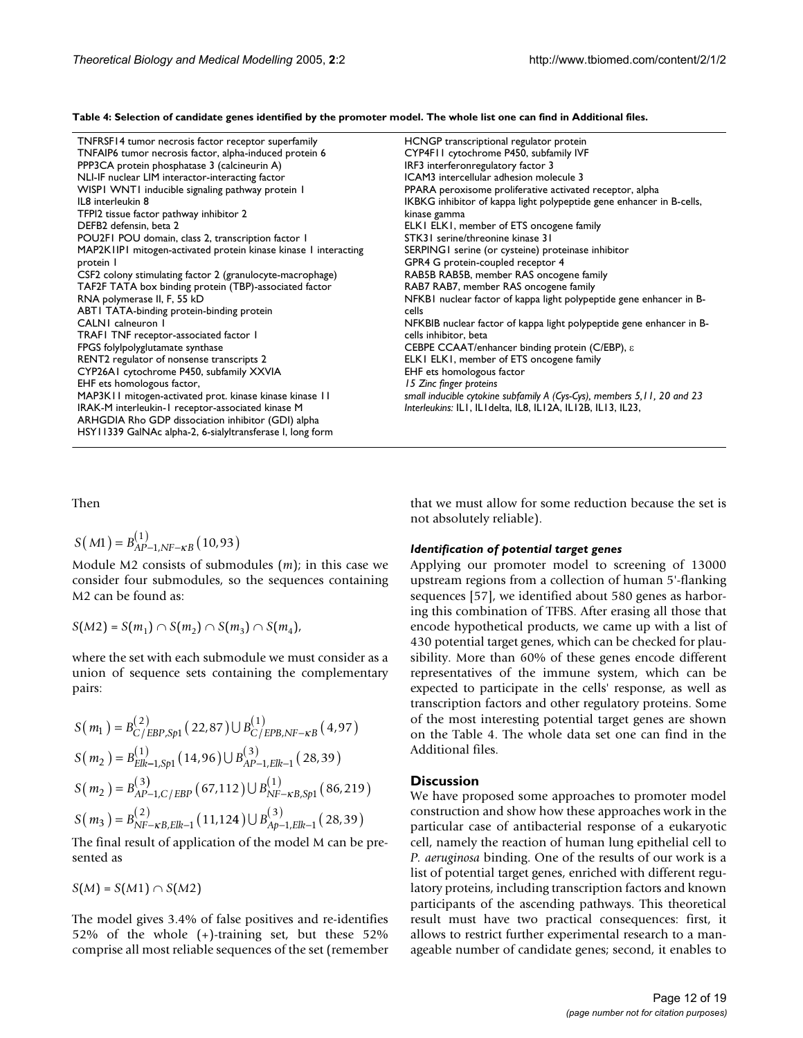#### <span id="page-11-0"></span>**Table 4: Selection of candidate genes identified by the promoter model. The whole list one can find in Additional files.**

| TNFRSF14 tumor necrosis factor receptor superfamily             | HCNGP transcriptional regulator protein                                   |
|-----------------------------------------------------------------|---------------------------------------------------------------------------|
| TNFAIP6 tumor necrosis factor, alpha-induced protein 6          | CYP4F11 cytochrome P450, subfamily IVF                                    |
| PPP3CA protein phosphatase 3 (calcineurin A)                    | IRF3 interferonregulatory factor 3                                        |
| NLI-IF nuclear LIM interactor-interacting factor                | ICAM3 intercellular adhesion molecule 3                                   |
| WISPI WNTI inducible signaling pathway protein I                | PPARA peroxisome proliferative activated receptor, alpha                  |
| IL8 interleukin 8                                               | IKBKG inhibitor of kappa light polypeptide gene enhancer in B-cells,      |
| TFPI2 tissue factor pathway inhibitor 2                         | kinase gamma                                                              |
| DEFB2 defensin, beta 2                                          | ELK I ELK I, member of ETS oncogene family                                |
| POU2F1 POU domain, class 2, transcription factor 1              | STK31 serine/threonine kinase 31                                          |
| MAP2K1IP1 mitogen-activated protein kinase kinase 1 interacting | SERPING I serine (or cysteine) proteinase inhibitor                       |
| protein I                                                       | GPR4 G protein-coupled receptor 4                                         |
| CSF2 colony stimulating factor 2 (granulocyte-macrophage)       | RAB5B RAB5B, member RAS oncogene family                                   |
| TAF2F TATA box binding protein (TBP)-associated factor          | RAB7 RAB7, member RAS oncogene family                                     |
| RNA polymerase II, F, 55 kD                                     | NFKBI nuclear factor of kappa light polypeptide gene enhancer in B-       |
| ABTI TATA-binding protein-binding protein                       | cells                                                                     |
| CALNI calneuron I                                               | NFKBIB nuclear factor of kappa light polypeptide gene enhancer in B-      |
| TRAFI TNF receptor-associated factor 1                          | cells inhibitor, beta                                                     |
| FPGS folylpolyglutamate synthase                                | CEBPE CCAAT/enhancer binding protein (C/EBP), $\varepsilon$               |
| RENT2 regulator of nonsense transcripts 2                       | ELK I ELK I, member of ETS oncogene family                                |
| CYP26A1 cytochrome P450, subfamily XXVIA                        | EHF ets homologous factor                                                 |
| EHF ets homologous factor,                                      | 15 Zinc finger proteins                                                   |
| MAP3K11 mitogen-activated prot. kinase kinase kinase 11         | small inducible cytokine subfamily A (Cys-Cys), members 5, I I, 20 and 23 |
| IRAK-M interleukin-1 receptor-associated kinase M               | Interleukins: ILI, ILI delta, IL8, ILI 2A, ILI 2B, ILI 3, IL23,           |
| ARHGDIA Rho GDP dissociation inhibitor (GDI) alpha              |                                                                           |
| HSY11339 GalNAc alpha-2, 6-sialyltransferase I, long form       |                                                                           |

Then

$$
S(M1) = B_{AP-1,NF-KB}^{(1)}(10,93)
$$

Module M2 consists of submodules (*m*); in this case we consider four submodules, so the sequences containing M2 can be found as:

$$
S(M2) = S(m_1) \cap S(m_2) \cap S(m_3) \cap S(m_4),
$$

where the set with each submodule we must consider as a union of sequence sets containing the complementary pairs:

$$
S(m_1) = B_{C/EBP, Sp1}^{(2)} (22,87) \cup B_{C/EBP,NF-\kappa B}^{(1)} (4,97)
$$
  
\n
$$
S(m_2) = B_{Elk-1,Sp1}^{(1)} (14,96) \cup B_{AP-1,Elk-1}^{(3)} (28,39)
$$
  
\n
$$
S(m_2) = B_{AP-1,C/EBP}^{(3)} (67,112) \cup B_{NF-\kappa B,Sp1}^{(1)} (86,219)
$$
  
\n
$$
S(m_3) = B_{NF-\kappa B,Elk-1}^{(2)} (11,124) \cup B_{Ap-1,Elk-1}^{(3)} (28,39)
$$

The final result of application of the model M can be presented as

$$
S(M) = S(M1) \cap S(M2)
$$

The model gives 3.4% of false positives and re-identifies 52% of the whole (+)-training set, but these 52% comprise all most reliable sequences of the set (remember that we must allow for some reduction because the set is not absolutely reliable).

#### *Identification of potential target genes*

Applying our promoter model to screening of 13000 upstream regions from a collection of human 5'-flanking sequences [57], we identified about 580 genes as harboring this combination of TFBS. After erasing all those that encode hypothetical products, we came up with a list of 430 potential target genes, which can be checked for plausibility. More than 60% of these genes encode different representatives of the immune system, which can be expected to participate in the cells' response, as well as transcription factors and other regulatory proteins. Some of the most interesting potential target genes are shown on the Table [4](#page-11-0). The whole data set one can find in the Additional files.

### **Discussion**

We have proposed some approaches to promoter model construction and show how these approaches work in the particular case of antibacterial response of a eukaryotic cell, namely the reaction of human lung epithelial cell to *P. aeruginosa* binding. One of the results of our work is a list of potential target genes, enriched with different regulatory proteins, including transcription factors and known participants of the ascending pathways. This theoretical result must have two practical consequences: first, it allows to restrict further experimental research to a manageable number of candidate genes; second, it enables to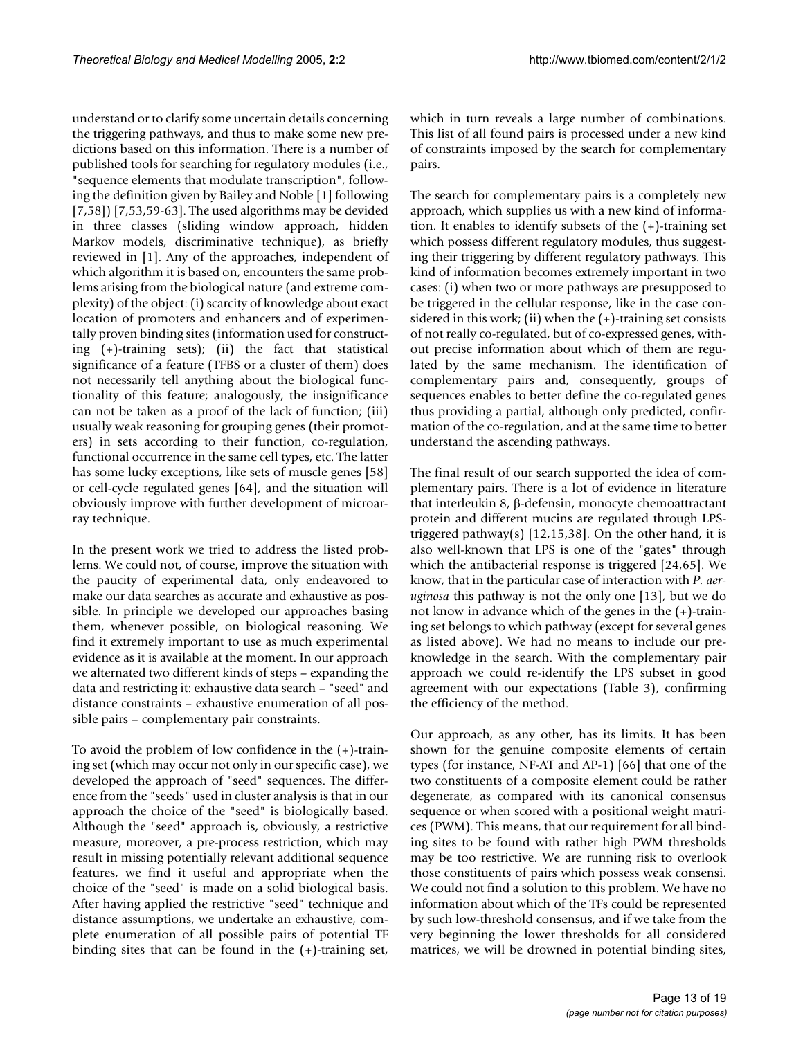understand or to clarify some uncertain details concerning the triggering pathways, and thus to make some new predictions based on this information. There is a number of published tools for searching for regulatory modules (i.e., "sequence elements that modulate transcription", following the definition given by Bailey and Noble [1] following [7,58]) [7,53,59-63]. The used algorithms may be devided in three classes (sliding window approach, hidden Markov models, discriminative technique), as briefly reviewed in [1]. Any of the approaches, independent of which algorithm it is based on, encounters the same problems arising from the biological nature (and extreme complexity) of the object: (i) scarcity of knowledge about exact location of promoters and enhancers and of experimentally proven binding sites (information used for constructing (+)-training sets); (ii) the fact that statistical significance of a feature (TFBS or a cluster of them) does not necessarily tell anything about the biological functionality of this feature; analogously, the insignificance can not be taken as a proof of the lack of function; (iii) usually weak reasoning for grouping genes (their promoters) in sets according to their function, co-regulation, functional occurrence in the same cell types, etc. The latter has some lucky exceptions, like sets of muscle genes [58] or cell-cycle regulated genes [64], and the situation will obviously improve with further development of microarray technique.

In the present work we tried to address the listed problems. We could not, of course, improve the situation with the paucity of experimental data, only endeavored to make our data searches as accurate and exhaustive as possible. In principle we developed our approaches basing them, whenever possible, on biological reasoning. We find it extremely important to use as much experimental evidence as it is available at the moment. In our approach we alternated two different kinds of steps – expanding the data and restricting it: exhaustive data search – "seed" and distance constraints – exhaustive enumeration of all possible pairs – complementary pair constraints.

To avoid the problem of low confidence in the (+)-training set (which may occur not only in our specific case), we developed the approach of "seed" sequences. The difference from the "seeds" used in cluster analysis is that in our approach the choice of the "seed" is biologically based. Although the "seed" approach is, obviously, a restrictive measure, moreover, a pre-process restriction, which may result in missing potentially relevant additional sequence features, we find it useful and appropriate when the choice of the "seed" is made on a solid biological basis. After having applied the restrictive "seed" technique and distance assumptions, we undertake an exhaustive, complete enumeration of all possible pairs of potential TF binding sites that can be found in the (+)-training set,

which in turn reveals a large number of combinations. This list of all found pairs is processed under a new kind of constraints imposed by the search for complementary pairs.

The search for complementary pairs is a completely new approach, which supplies us with a new kind of information. It enables to identify subsets of the (+)-training set which possess different regulatory modules, thus suggesting their triggering by different regulatory pathways. This kind of information becomes extremely important in two cases: (i) when two or more pathways are presupposed to be triggered in the cellular response, like in the case considered in this work; (ii) when the  $(+)$ -training set consists of not really co-regulated, but of co-expressed genes, without precise information about which of them are regulated by the same mechanism. The identification of complementary pairs and, consequently, groups of sequences enables to better define the co-regulated genes thus providing a partial, although only predicted, confirmation of the co-regulation, and at the same time to better understand the ascending pathways.

The final result of our search supported the idea of complementary pairs. There is a lot of evidence in literature that interleukin 8, β-defensin, monocyte chemoattractant protein and different mucins are regulated through LPStriggered pathway(s) [12,[15,](#page-16-1)38]. On the other hand, it is also well-known that LPS is one of the "gates" through which the antibacterial response is triggered [24,65]. We know, that in the particular case of interaction with *P. aeruginosa* this pathway is not the only one [13], but we do not know in advance which of the genes in the (+)-training set belongs to which pathway (except for several genes as listed above). We had no means to include our preknowledge in the search. With the complementary pair approach we could re-identify the LPS subset in good agreement with our expectations (Table [3](#page-10-0)), confirming the efficiency of the method.

Our approach, as any other, has its limits. It has been shown for the genuine composite elements of certain types (for instance, NF-AT and AP-1) [66] that one of the two constituents of a composite element could be rather degenerate, as compared with its canonical consensus sequence or when scored with a positional weight matrices (PWM). This means, that our requirement for all binding sites to be found with rather high PWM thresholds may be too restrictive. We are running risk to overlook those constituents of pairs which possess weak consensi. We could not find a solution to this problem. We have no information about which of the TFs could be represented by such low-threshold consensus, and if we take from the very beginning the lower thresholds for all considered matrices, we will be drowned in potential binding sites,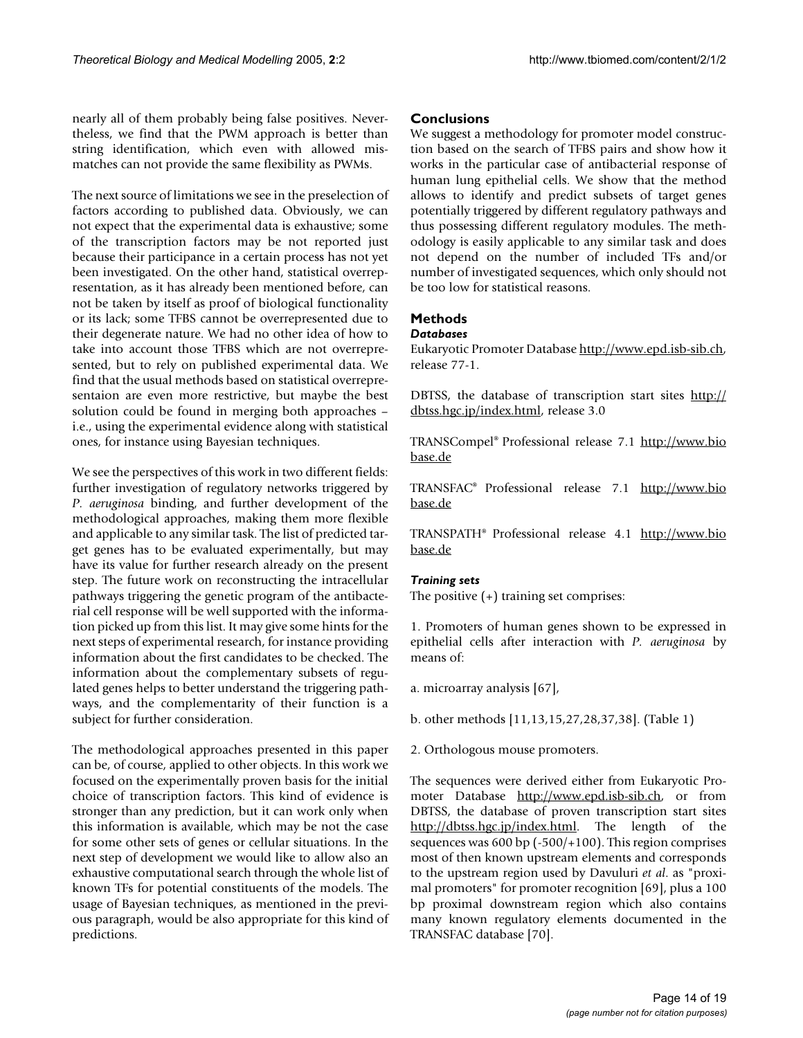nearly all of them probably being false positives. Nevertheless, we find that the PWM approach is better than string identification, which even with allowed mismatches can not provide the same flexibility as PWMs.

The next source of limitations we see in the preselection of factors according to published data. Obviously, we can not expect that the experimental data is exhaustive; some of the transcription factors may be not reported just because their participance in a certain process has not yet been investigated. On the other hand, statistical overrepresentation, as it has already been mentioned before, can not be taken by itself as proof of biological functionality or its lack; some TFBS cannot be overrepresented due to their degenerate nature. We had no other idea of how to take into account those TFBS which are not overrepresented, but to rely on published experimental data. We find that the usual methods based on statistical overrepresentaion are even more restrictive, but maybe the best solution could be found in merging both approaches – i.e., using the experimental evidence along with statistical ones, for instance using Bayesian techniques.

We see the perspectives of this work in two different fields: further investigation of regulatory networks triggered by *P. aeruginosa* binding, and further development of the methodological approaches, making them more flexible and applicable to any similar task. The list of predicted target genes has to be evaluated experimentally, but may have its value for further research already on the present step. The future work on reconstructing the intracellular pathways triggering the genetic program of the antibacterial cell response will be well supported with the information picked up from this list. It may give some hints for the next steps of experimental research, for instance providing information about the first candidates to be checked. The information about the complementary subsets of regulated genes helps to better understand the triggering pathways, and the complementarity of their function is a subject for further consideration.

The methodological approaches presented in this paper can be, of course, applied to other objects. In this work we focused on the experimentally proven basis for the initial choice of transcription factors. This kind of evidence is stronger than any prediction, but it can work only when this information is available, which may be not the case for some other sets of genes or cellular situations. In the next step of development we would like to allow also an exhaustive computational search through the whole list of known TFs for potential constituents of the models. The usage of Bayesian techniques, as mentioned in the previous paragraph, would be also appropriate for this kind of predictions.

# **Conclusions**

We suggest a methodology for promoter model construction based on the search of TFBS pairs and show how it works in the particular case of antibacterial response of human lung epithelial cells. We show that the method allows to identify and predict subsets of target genes potentially triggered by different regulatory pathways and thus possessing different regulatory modules. The methodology is easily applicable to any similar task and does not depend on the number of included TFs and/or number of investigated sequences, which only should not be too low for statistical reasons.

# **Methods**

## *Databases*

Eukaryotic Promoter Database [http://www.epd.isb-sib.ch,](http://www.epd.isb-sib.ch) release 77-1.

DBTSS, the database of transcription start sites [http://](http://dbtss.hgc.jp/index.html) [dbtss.hgc.jp/index.html,](http://dbtss.hgc.jp/index.html) release 3.0

TRANSCompel® Professional release 7.1 [http://www.bio](http://www.biobase.de) [base.de](http://www.biobase.de)

TRANSFAC® Professional release 7.1 [http://www.bio](http://www.biobase.de) [base.de](http://www.biobase.de)

TRANSPATH® Professional release 4.1 [http://www.bio](http://www.biobase.de) [base.de](http://www.biobase.de)

## *Training sets*

The positive (+) training set comprises:

1. Promoters of human genes shown to be expressed in epithelial cells after interaction with *P. aeruginosa* by means of:

a. microarray analysis [67],

b. other methods [[11](#page-16-0),13[,15](#page-16-1),27,28,37,38]. (Table [1\)](#page-2-0)

2. Orthologous mouse promoters.

The sequences were derived either from Eukaryotic Promoter Database <http://www.epd.isb-sib.ch>, or from DBTSS, the database of proven transcription start sites [http://dbtss.hgc.jp/index.html.](http://dbtss.hgc.jp/index.html) The length of the sequences was 600 bp (-500/+100). This region comprises most of then known upstream elements and corresponds to the upstream region used by Davuluri *et al*. as "proximal promoters" for promoter recognition [69], plus a 100 bp proximal downstream region which also contains many known regulatory elements documented in the TRANSFAC database [70].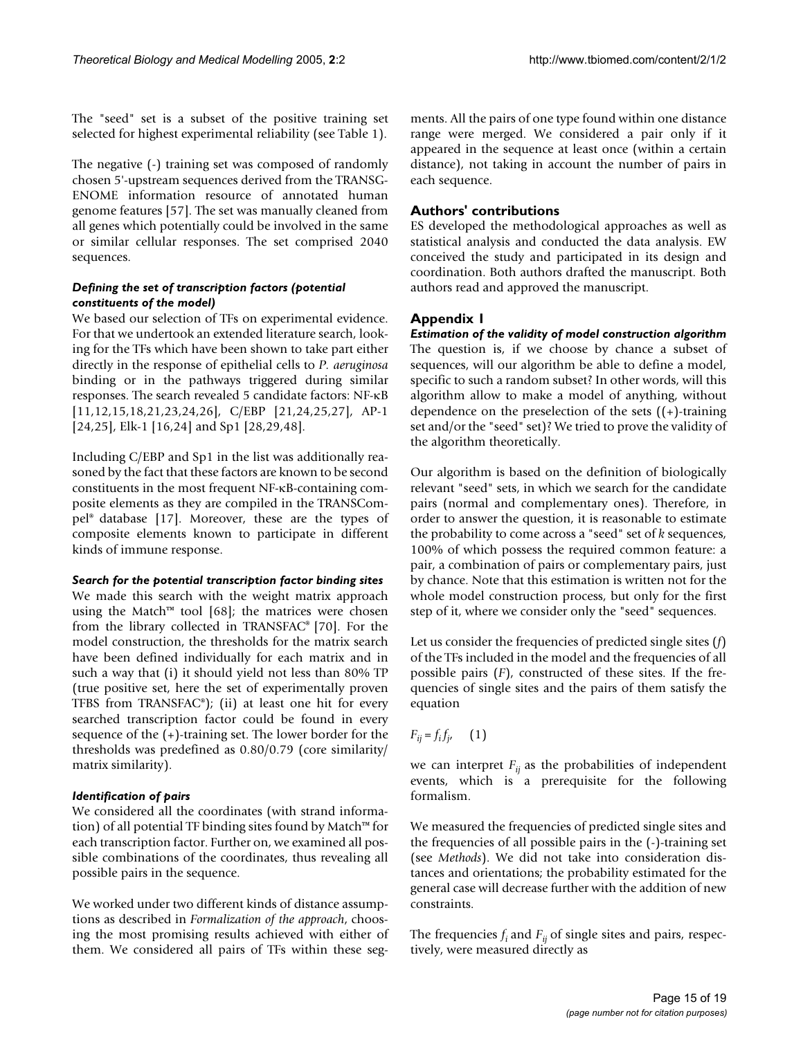The "seed" set is a subset of the positive training set selected for highest experimental reliability (see Table [1\)](#page-2-0).

The negative (-) training set was composed of randomly chosen 5'-upstream sequences derived from the TRANSG-ENOME information resource of annotated human genome features [57]. The set was manually cleaned from all genes which potentially could be involved in the same or similar cellular responses. The set comprised 2040 sequences.

## *Defining the set of transcription factors (potential constituents of the model)*

We based our selection of TFs on experimental evidence. For that we undertook an extended literature search, looking for the TFs which have been shown to take part either directly in the response of epithelial cells to *P. aeruginosa* binding or in the pathways triggered during similar responses. The search revealed 5 candidate factors: NF-κB [[11](#page-16-0),12[,15](#page-16-1),18,21,23,24,26], C/EBP [21,24,25,27], AP-1 [24,25], Elk-1 [16,24] and Sp1 [28,29[,48](#page-17-0)].

Including C/EBP and Sp1 in the list was additionally reasoned by the fact that these factors are known to be second constituents in the most frequent NF-κB-containing composite elements as they are compiled in the TRANSCompel® database [17]. Moreover, these are the types of composite elements known to participate in different kinds of immune response.

### *Search for the potential transcription factor binding sites*

We made this search with the weight matrix approach using the Match™ tool [68]; the matrices were chosen from the library collected in TRANSFAC® [70]. For the model construction, the thresholds for the matrix search have been defined individually for each matrix and in such a way that (i) it should yield not less than 80% TP (true positive set, here the set of experimentally proven TFBS from TRANSFAC®); (ii) at least one hit for every searched transcription factor could be found in every sequence of the (+)-training set. The lower border for the thresholds was predefined as 0.80/0.79 (core similarity/ matrix similarity).

## *Identification of pairs*

We considered all the coordinates (with strand information) of all potential TF binding sites found by Match™ for each transcription factor. Further on, we examined all possible combinations of the coordinates, thus revealing all possible pairs in the sequence.

We worked under two different kinds of distance assumptions as described in *Formalization of the approach*, choosing the most promising results achieved with either of them. We considered all pairs of TFs within these segments. All the pairs of one type found within one distance range were merged. We considered a pair only if it appeared in the sequence at least once (within a certain distance), not taking in account the number of pairs in each sequence.

## **Authors' contributions**

ES developed the methodological approaches as well as statistical analysis and conducted the data analysis. EW conceived the study and participated in its design and coordination. Both authors drafted the manuscript. Both authors read and approved the manuscript.

# **Appendix 1**

*Estimation of the validity of model construction algorithm* The question is, if we choose by chance a subset of sequences, will our algorithm be able to define a model, specific to such a random subset? In other words, will this algorithm allow to make a model of anything, without dependence on the preselection of the sets  $((+)$ -training set and/or the "seed" set)? We tried to prove the validity of the algorithm theoretically.

Our algorithm is based on the definition of biologically relevant "seed" sets, in which we search for the candidate pairs (normal and complementary ones). Therefore, in order to answer the question, it is reasonable to estimate the probability to come across a "seed" set of *k* sequences, 100% of which possess the required common feature: a pair, a combination of pairs or complementary pairs, just by chance. Note that this estimation is written not for the whole model construction process, but only for the first step of it, where we consider only the "seed" sequences.

Let us consider the frequencies of predicted single sites (*f*) of the TFs included in the model and the frequencies of all possible pairs (*F*), constructed of these sites. If the frequencies of single sites and the pairs of them satisfy the equation

# $F_{ij} = f_i f_{j'}$  (1)

we can interpret  $F_{ii}$  as the probabilities of independent events, which is a prerequisite for the following formalism.

We measured the frequencies of predicted single sites and the frequencies of all possible pairs in the (-)-training set (see *Methods*). We did not take into consideration distances and orientations; the probability estimated for the general case will decrease further with the addition of new constraints.

The frequencies  $f_i$  and  $F_{ij}$  of single sites and pairs, respectively, were measured directly as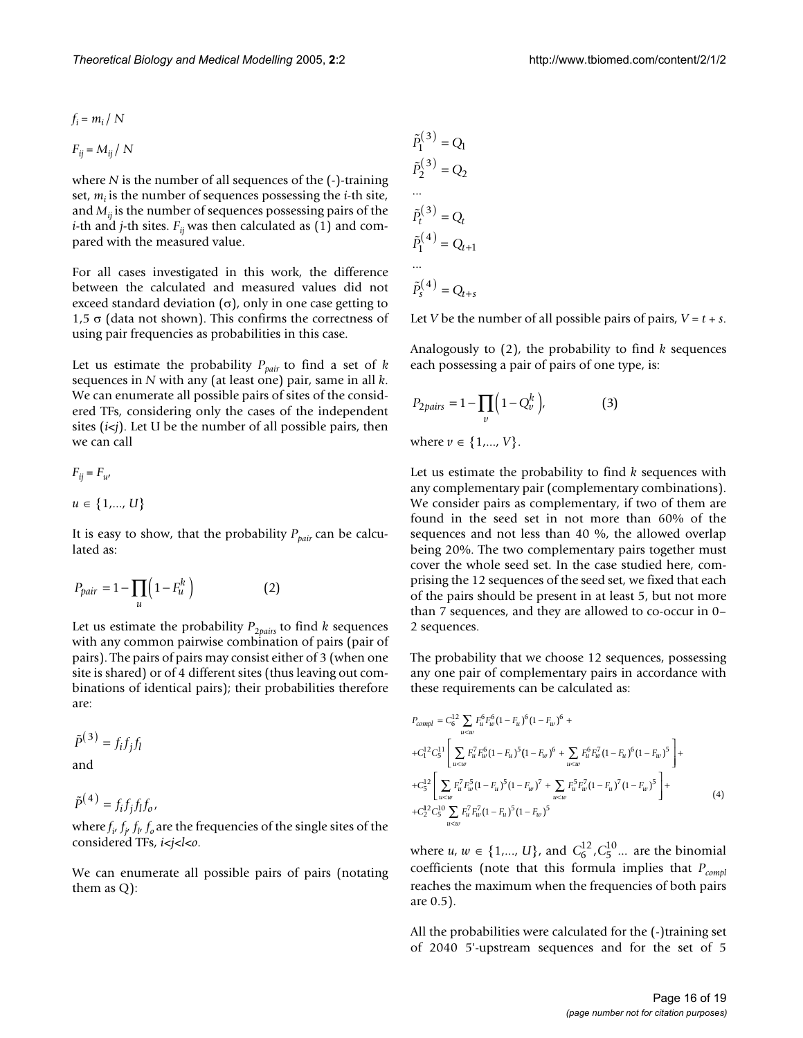$f_i = m_i / N$ 

$$
F_{ij} = M_{ij} / N
$$

where *N* is the number of all sequences of the (-)-training set,  $m_i$  is the number of sequences possessing the *i*-th site, and  $M_{ii}$  is the number of sequences possessing pairs of the *i*-th and *j*-th sites.  $F_{ij}$  was then calculated as (1) and compared with the measured value.

For all cases investigated in this work, the difference between the calculated and measured values did not exceed standard deviation  $(σ)$ , only in one case getting to 1,5 σ (data not shown). This confirms the correctness of using pair frequencies as probabilities in this case.

Let us estimate the probability  $P_{pair}$  to find a set of  $k$ sequences in *N* with any (at least one) pair, same in all *k*. We can enumerate all possible pairs of sites of the considered TFs, considering only the cases of the independent sites  $(i< j)$ . Let U be the number of all possible pairs, then we can call

$$
F_{ij} = F_{u'}
$$
  

$$
u \in \{1, ..., U\}
$$

It is easy to show, that the probability  $P_{pair}$  can be calculated as:

$$
P_{pair} = 1 - \prod_{u} \left( 1 - F_u^k \right) \tag{2}
$$

Let us estimate the probability  $P_{2\text{pairs}}$  to find *k* sequences with any common pairwise combination of pairs (pair of pairs). The pairs of pairs may consist either of 3 (when one site is shared) or of 4 different sites (thus leaving out combinations of identical pairs); their probabilities therefore are:

$$
\tilde{P}^{(3)} = f_i f_j f_l
$$

and

 $\tilde{P}^{(4)} = f_i f_j f_l f_o$ 

where  $f_i$ ,  $f_j$ ,  $f_b$ , are the frequencies of the single sites of the considered TFs, *i*<*j*<*l*<*o*.

We can enumerate all possible pairs of pairs (notating them as Q):

$$
\tilde{P}_1^{(3)} = Q_1
$$
\n
$$
\tilde{P}_2^{(3)} = Q_2
$$
\n
$$
\dots
$$
\n
$$
\tilde{P}_t^{(3)} = Q_t
$$
\n
$$
\tilde{P}_1^{(4)} = Q_{t+1}
$$
\n
$$
\dots
$$
\n
$$
\tilde{P}_s^{(4)} = Q_{t+s}
$$

Let *V* be the number of all possible pairs of pairs,  $V = t + s$ .

Analogously to (2), the probability to find *k* sequences each possessing a pair of pairs of one type, is:

$$
P_{2pairs} = 1 - \prod_{v} \left( 1 - Q_v^k \right),
$$
\nwhere  $v \in \{1, \ldots, V\}$ .

\n(3)

Let us estimate the probability to find *k* sequences with any complementary pair (complementary combinations). We consider pairs as complementary, if two of them are found in the seed set in not more than 60% of the sequences and not less than 40 %, the allowed overlap being 20%. The two complementary pairs together must cover the whole seed set. In the case studied here, comprising the 12 sequences of the seed set, we fixed that each of the pairs should be present in at least 5, but not more than 7 sequences, and they are allowed to co-occur in 0– 2 sequences.

The probability that we choose 12 sequences, possessing any one pair of complementary pairs in accordance with these requirements can be calculated as:

$$
P_{compl} = C_6^{12} \sum_{u < w} F_u^6 F_w^6 (1 - F_u)^6 (1 - F_w)^6 +
$$
\n
$$
+ C_1^{12} C_5^{11} \left[ \sum_{u < w} F_u^7 F_w^6 (1 - F_u)^5 (1 - F_w)^6 + \sum_{u < w} F_u^6 F_w^7 (1 - F_u)^6 (1 - F_w)^5 \right] +
$$
\n
$$
+ C_5^{12} \left[ \sum_{u < w} F_u^7 F_w^5 (1 - F_u)^5 (1 - F_w)^7 + \sum_{u < w} F_u^5 F_w^7 (1 - F_u)^7 (1 - F_w)^5 \right] +
$$
\n
$$
+ C_2^{12} C_5^{10} \sum_{u < w} F_u^7 F_w^7 (1 - F_u)^5 (1 - F_w)^5
$$
\n
$$
(4)
$$

where *u*, *w* ∈ {1,..., *U*}, and  $C_6^{12}$ ,  $C_5^{10}$  ... are the binomial coefficients (note that this formula implies that  $P_{\textit{compl}}$ reaches the maximum when the frequencies of both pairs are 0.5).

All the probabilities were calculated for the (-)training set of 2040 5'-upstream sequences and for the set of 5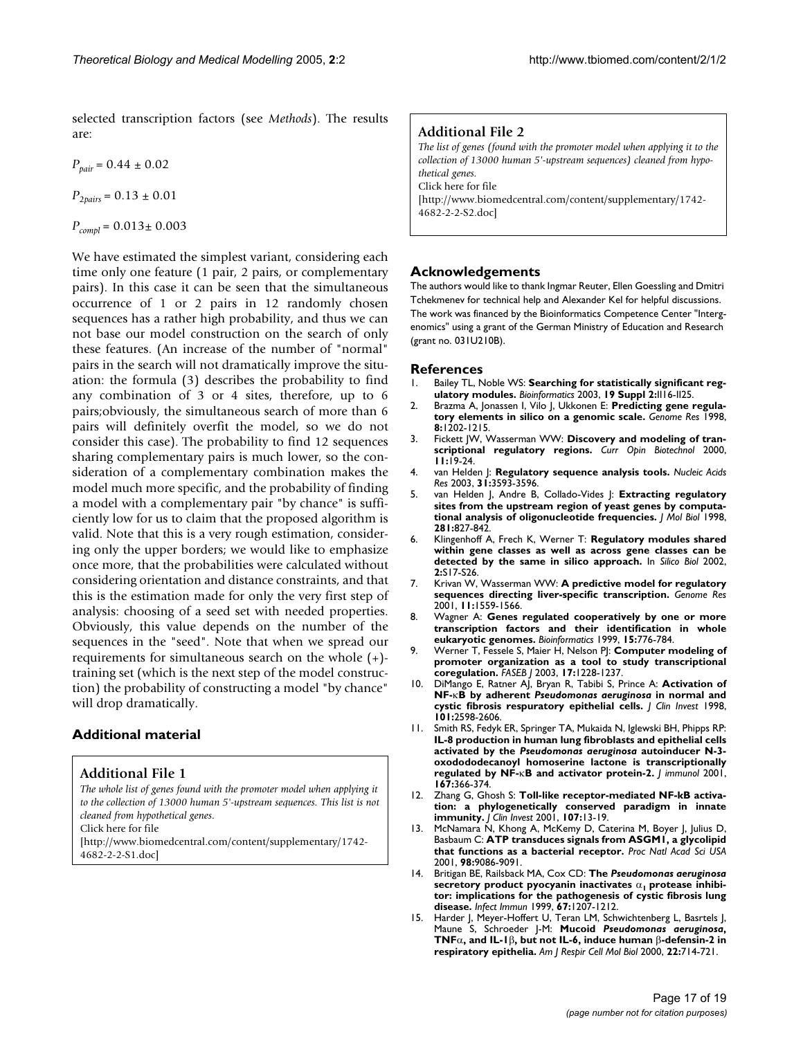selected transcription factors (see *Methods*). The results are:

 $P_{pair} = 0.44 \pm 0.02$ 

 $P_{2<sub>pairs</sub>}$  = 0.13  $\pm$  0.01

 $P_{compl} = 0.013 \pm 0.003$ 

We have estimated the simplest variant, considering each time only one feature (1 pair, 2 pairs, or complementary pairs). In this case it can be seen that the simultaneous occurrence of 1 or 2 pairs in 12 randomly chosen sequences has a rather high probability, and thus we can not base our model construction on the search of only these features. (An increase of the number of "normal" pairs in the search will not dramatically improve the situation: the formula (3) describes the probability to find any combination of 3 or 4 sites, therefore, up to 6 pairs;obviously, the simultaneous search of more than 6 pairs will definitely overfit the model, so we do not consider this case). The probability to find 12 sequences sharing complementary pairs is much lower, so the consideration of a complementary combination makes the model much more specific, and the probability of finding a model with a complementary pair "by chance" is sufficiently low for us to claim that the proposed algorithm is valid. Note that this is a very rough estimation, considering only the upper borders; we would like to emphasize once more, that the probabilities were calculated without considering orientation and distance constraints, and that this is the estimation made for only the very first step of analysis: choosing of a seed set with needed properties. Obviously, this value depends on the number of the sequences in the "seed". Note that when we spread our requirements for simultaneous search on the whole (+) training set (which is the next step of the model construction) the probability of constructing a model "by chance" will drop dramatically.

## **Additional material**

### **Additional File 1**

*The whole list of genes found with the promoter model when applying it to the collection of 13000 human 5'-upstream sequences. This list is not cleaned from hypothetical genes.* Click here for file

[http://www.biomedcentral.com/content/supplementary/1742- 4682-2-2-S1.doc]

### **Additional File 2**

*The list of genes (found with the promoter model when applying it to the collection of 13000 human 5'-upstream sequences) cleaned from hypothetical genes.* Click here for file [\[http://www.biomedcentral.com/content/supplementary/1742-](http://www.biomedcentral.com/content/supplementary/1742-4682-2-2-S2.doc) 4682-2-2-S2.doc]

### **Acknowledgements**

The authors would like to thank Ingmar Reuter, Ellen Goessling and Dmitri Tchekmenev for technical help and Alexander Kel for helpful discussions. The work was financed by the Bioinformatics Competence Center "Intergenomics" using a grant of the German Ministry of Education and Research (grant no. 031U210B).

#### **References**

- 1. Bailey TL, Noble WS: **[Searching for statistically significant reg](http://www.ncbi.nlm.nih.gov/entrez/query.fcgi?cmd=Retrieve&db=PubMed&dopt=Abstract&list_uids=14534166)[ulatory modules.](http://www.ncbi.nlm.nih.gov/entrez/query.fcgi?cmd=Retrieve&db=PubMed&dopt=Abstract&list_uids=14534166)** *Bioinformatics* 2003, **19 Suppl 2:**II16-II25.
- 2. Brazma A, Jonassen I, Vilo J, Ukkonen E: **[Predicting gene regula](http://www.ncbi.nlm.nih.gov/entrez/query.fcgi?cmd=Retrieve&db=PubMed&dopt=Abstract&list_uids=9847082)[tory elements in silico on a genomic scale.](http://www.ncbi.nlm.nih.gov/entrez/query.fcgi?cmd=Retrieve&db=PubMed&dopt=Abstract&list_uids=9847082)** *Genome Res* 1998, **8:**1202-1215.
- 3. Fickett JW, Wasserman WW: **[Discovery and modeling of tran](http://www.ncbi.nlm.nih.gov/entrez/query.fcgi?cmd=Retrieve&db=PubMed&dopt=Abstract&list_uids=10679343)[scriptional regulatory regions.](http://www.ncbi.nlm.nih.gov/entrez/query.fcgi?cmd=Retrieve&db=PubMed&dopt=Abstract&list_uids=10679343)** *Curr Opin Biotechnol* 2000, **11:**19-24.
- 4. van Helden J: **[Regulatory sequence analysis tools.](http://www.ncbi.nlm.nih.gov/entrez/query.fcgi?cmd=Retrieve&db=PubMed&dopt=Abstract&list_uids=12824373)** *Nucleic Acids Res* 2003, **31:**3593-3596.
- 5. van Helden J, Andre B, Collado-Vides |: **[Extracting regulatory](http://www.ncbi.nlm.nih.gov/entrez/query.fcgi?cmd=Retrieve&db=PubMed&dopt=Abstract&list_uids=9719638) [sites from the upstream region of yeast genes by computa](http://www.ncbi.nlm.nih.gov/entrez/query.fcgi?cmd=Retrieve&db=PubMed&dopt=Abstract&list_uids=9719638)[tional analysis of oligonucleotide frequencies.](http://www.ncbi.nlm.nih.gov/entrez/query.fcgi?cmd=Retrieve&db=PubMed&dopt=Abstract&list_uids=9719638)** *J Mol Biol* 1998, **281:**827-842.
- 6. Klingenhoff A, Frech K, Werner T: **[Regulatory modules shared](http://www.ncbi.nlm.nih.gov/entrez/query.fcgi?cmd=Retrieve&db=PubMed&dopt=Abstract&list_uids=11808874) [within gene classes as well as across gene classes can be](http://www.ncbi.nlm.nih.gov/entrez/query.fcgi?cmd=Retrieve&db=PubMed&dopt=Abstract&list_uids=11808874) [detected by the same in silico approach.](http://www.ncbi.nlm.nih.gov/entrez/query.fcgi?cmd=Retrieve&db=PubMed&dopt=Abstract&list_uids=11808874)** In *Silico Biol* 2002, **2:**S17-S26.
- 7. Krivan W, Wasserman WW: **[A predictive model for regulatory](http://www.ncbi.nlm.nih.gov/entrez/query.fcgi?cmd=Retrieve&db=PubMed&dopt=Abstract&list_uids=11544200) [sequences directing liver-specific transcription.](http://www.ncbi.nlm.nih.gov/entrez/query.fcgi?cmd=Retrieve&db=PubMed&dopt=Abstract&list_uids=11544200)** *Genome Res* 2001, **11:**1559-1566.
- 8. Wagner A: **[Genes regulated cooperatively by one or more](http://www.ncbi.nlm.nih.gov/entrez/query.fcgi?cmd=Retrieve&db=PubMed&dopt=Abstract&list_uids=10705431) [transcription factors and their identification in whole](http://www.ncbi.nlm.nih.gov/entrez/query.fcgi?cmd=Retrieve&db=PubMed&dopt=Abstract&list_uids=10705431) [eukaryotic genomes.](http://www.ncbi.nlm.nih.gov/entrez/query.fcgi?cmd=Retrieve&db=PubMed&dopt=Abstract&list_uids=10705431)** *Bioinformatics* 1999, **15:**776-784.
- 9. Werner T, Fessele S, Maier H, Nelson PJ: **[Computer modeling of](http://www.ncbi.nlm.nih.gov/entrez/query.fcgi?cmd=Retrieve&db=PubMed&dopt=Abstract&list_uids=12832287) [promoter organization as a tool to study transcriptional](http://www.ncbi.nlm.nih.gov/entrez/query.fcgi?cmd=Retrieve&db=PubMed&dopt=Abstract&list_uids=12832287) [coregulation.](http://www.ncbi.nlm.nih.gov/entrez/query.fcgi?cmd=Retrieve&db=PubMed&dopt=Abstract&list_uids=12832287)** *FASEB J* 2003, **17:**1228-1237.
- 10. DiMango E, Ratner AJ, Bryan R, Tabibi S, Prince A: **Activation of NF-**κ**B by adherent** *Pseudomonas aeruginosa* **[in normal and](http://www.ncbi.nlm.nih.gov/entrez/query.fcgi?cmd=Retrieve&db=PubMed&dopt=Abstract&list_uids=9616231) [cystic fibrosis respuratory epithelial cells.](http://www.ncbi.nlm.nih.gov/entrez/query.fcgi?cmd=Retrieve&db=PubMed&dopt=Abstract&list_uids=9616231)** *J Clin Invest* 1998, **101:**2598-2606.
- <span id="page-16-0"></span>11. Smith RS, Fedyk ER, Springer TA, Mukaida N, Iglewski BH, Phipps RP: **IL-8 production in human lung fibroblasts and epithelial cells activated by the** *Pseudomonas aeruginosa* **autoinducer N-3 oxodododecanoyl homoserine lactone is transcriptionally regulated by NF-**κ**[B and activator protein-2.](http://www.ncbi.nlm.nih.gov/entrez/query.fcgi?cmd=Retrieve&db=PubMed&dopt=Abstract&list_uids=11418672)** *J immunol* 2001, **167:**366-374.
- 12. Zhang G, Ghosh S: **[Toll-like receptor-mediated NF-kB activa](http://www.ncbi.nlm.nih.gov/entrez/query.fcgi?cmd=Retrieve&db=PubMed&dopt=Abstract&list_uids=11134172)[tion: a phylogenetically conserved paradigm in innate](http://www.ncbi.nlm.nih.gov/entrez/query.fcgi?cmd=Retrieve&db=PubMed&dopt=Abstract&list_uids=11134172) [immunity.](http://www.ncbi.nlm.nih.gov/entrez/query.fcgi?cmd=Retrieve&db=PubMed&dopt=Abstract&list_uids=11134172)** *J Clin Invest* 2001, **107:**13-19.
- 13. McNamara N, Khong A, McKemy D, Caterina M, Boyer J, Julius D, Basbaum C: **[ATP transduces signals from ASGM1, a glycolipid](http://www.ncbi.nlm.nih.gov/entrez/query.fcgi?cmd=Retrieve&db=PubMed&dopt=Abstract&list_uids=11481474) [that functions as a bacterial receptor.](http://www.ncbi.nlm.nih.gov/entrez/query.fcgi?cmd=Retrieve&db=PubMed&dopt=Abstract&list_uids=11481474)** *Proc Natl Acad Sci USA* 2001, **98:**9086-9091.
- 14. Britigan BE, Railsback MA, Cox CD: **The** *Pseudomonas aeruginosa* **secretory product pyocyanin inactivates** α**1 [protease inhibi](http://www.ncbi.nlm.nih.gov/entrez/query.fcgi?cmd=Retrieve&db=PubMed&dopt=Abstract&list_uids=10024562)[tor: implications for the pathogenesis of cystic fibrosis lung](http://www.ncbi.nlm.nih.gov/entrez/query.fcgi?cmd=Retrieve&db=PubMed&dopt=Abstract&list_uids=10024562) [disease.](http://www.ncbi.nlm.nih.gov/entrez/query.fcgi?cmd=Retrieve&db=PubMed&dopt=Abstract&list_uids=10024562)** *Infect Immun* 1999, **67:**1207-1212.
- <span id="page-16-1"></span>15. Harder J, Meyer-Hoffert U, Teran LM, Schwichtenberg L, Basrtels J, Maune S, Schroeder J-M: **Mucoid** *Pseudomonas aeruginosa***, TNF**α**, and IL-1**β**, but not IL-6, induce human** β**[-defensin-2 in](http://www.ncbi.nlm.nih.gov/entrez/query.fcgi?cmd=Retrieve&db=PubMed&dopt=Abstract&list_uids=10837369) [respiratory epithelia.](http://www.ncbi.nlm.nih.gov/entrez/query.fcgi?cmd=Retrieve&db=PubMed&dopt=Abstract&list_uids=10837369)** *Am J Respir Cell Mol Biol* 2000, **22:**714-721.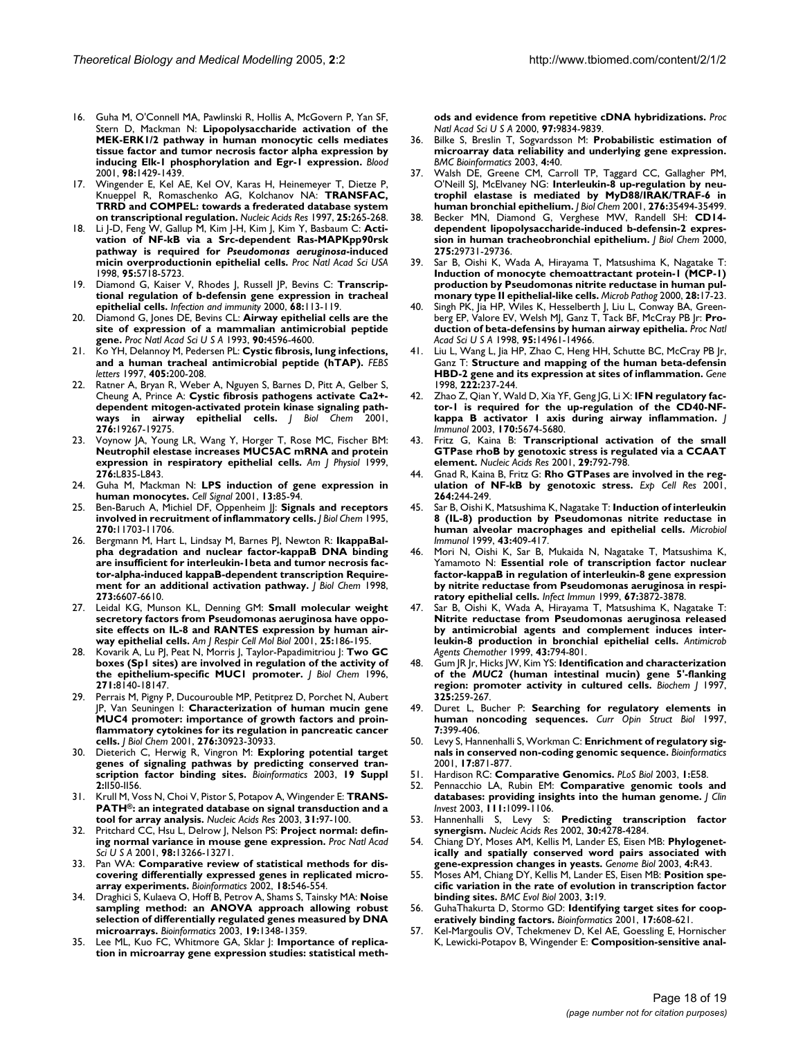- 16. Guha M, O'Connell MA, Pawlinski R, Hollis A, McGovern P, Yan SF, Stern D, Mackman N: **[Lipopolysaccharide activation of the](http://www.ncbi.nlm.nih.gov/entrez/query.fcgi?cmd=Retrieve&db=PubMed&dopt=Abstract&list_uids=11520792) [MEK-ERK1/2 pathway in human monocytic cells mediates](http://www.ncbi.nlm.nih.gov/entrez/query.fcgi?cmd=Retrieve&db=PubMed&dopt=Abstract&list_uids=11520792) tissue factor and tumor necrosis factor alpha expression by [inducing Elk-1 phosphorylation and Egr-1 expression.](http://www.ncbi.nlm.nih.gov/entrez/query.fcgi?cmd=Retrieve&db=PubMed&dopt=Abstract&list_uids=11520792)** *Blood* 2001, **98:**1429-1439.
- 17. Wingender E, Kel AE, Kel OV, Karas H, Heinemeyer T, Dietze P, Knueppel R, Romaschenko AG, Kolchanov NA: **[TRANSFAC,](http://www.ncbi.nlm.nih.gov/entrez/query.fcgi?cmd=Retrieve&db=PubMed&dopt=Abstract&list_uids=9016550) [TRRD and COMPEL: towards a frederated database system](http://www.ncbi.nlm.nih.gov/entrez/query.fcgi?cmd=Retrieve&db=PubMed&dopt=Abstract&list_uids=9016550) [on transcriptional regulation.](http://www.ncbi.nlm.nih.gov/entrez/query.fcgi?cmd=Retrieve&db=PubMed&dopt=Abstract&list_uids=9016550)** *Nucleic Acids Res* 1997, **25:**265-268.
- 18. Li J-D, Feng W, Gallup M, Kim J-H, Kim J, Kim Y, Basbaum C: **Activation of NF-kB via a Src-dependent Ras-MAPKpp90rsk pathway is required for** *Pseudomonas aeruginosa***[-induced](http://www.ncbi.nlm.nih.gov/entrez/query.fcgi?cmd=Retrieve&db=PubMed&dopt=Abstract&list_uids=9576950) [micin overproductionin epithelial cells.](http://www.ncbi.nlm.nih.gov/entrez/query.fcgi?cmd=Retrieve&db=PubMed&dopt=Abstract&list_uids=9576950)** *Proc Natl Acad Sci USA* 1998, **95:**5718-5723.
- 19. Diamond G, Kaiser V, Rhodes J, Russell JP, Bevins C: **[Transcrip](http://www.ncbi.nlm.nih.gov/entrez/query.fcgi?cmd=Retrieve&db=PubMed&dopt=Abstract&list_uids=10603376)[tional regulation of b-defensin gene expression in tracheal](http://www.ncbi.nlm.nih.gov/entrez/query.fcgi?cmd=Retrieve&db=PubMed&dopt=Abstract&list_uids=10603376) [epithelial cells.](http://www.ncbi.nlm.nih.gov/entrez/query.fcgi?cmd=Retrieve&db=PubMed&dopt=Abstract&list_uids=10603376)** *Infection and immunity* 2000, **68:**113-119.
- 20. Diamond G, Jones DE, Bevins CL: **[Airway epithelial cells are the](http://www.ncbi.nlm.nih.gov/entrez/query.fcgi?cmd=Retrieve&db=PubMed&dopt=Abstract&list_uids=8506305) [site of expression of a mammalian antimicrobial peptide](http://www.ncbi.nlm.nih.gov/entrez/query.fcgi?cmd=Retrieve&db=PubMed&dopt=Abstract&list_uids=8506305) [gene.](http://www.ncbi.nlm.nih.gov/entrez/query.fcgi?cmd=Retrieve&db=PubMed&dopt=Abstract&list_uids=8506305)** *Proc Natl Acad Sci U S A* 1993, **90:**4596-4600.
- 21. Ko YH, Delannoy M, Pedersen PL: **[Cystic fibrosis, lung infections,](http://www.ncbi.nlm.nih.gov/entrez/query.fcgi?cmd=Retrieve&db=PubMed&dopt=Abstract&list_uids=9089291) [and a human tracheal antimicrobial peptide \(hTAP\).](http://www.ncbi.nlm.nih.gov/entrez/query.fcgi?cmd=Retrieve&db=PubMed&dopt=Abstract&list_uids=9089291)** *FEBS letters* 1997, **405:**200-208.
- 22. Ratner A, Bryan R, Weber A, Nguyen S, Barnes D, Pitt A, Gelber S, Cheung A, Prince A: **[Cystic fibrosis pathogens activate Ca2+](http://www.ncbi.nlm.nih.gov/entrez/query.fcgi?cmd=Retrieve&db=PubMed&dopt=Abstract&list_uids=11278360) [dependent mitogen-activated protein kinase signaling path](http://www.ncbi.nlm.nih.gov/entrez/query.fcgi?cmd=Retrieve&db=PubMed&dopt=Abstract&list_uids=11278360)[ways in airway epithelial cells.](http://www.ncbi.nlm.nih.gov/entrez/query.fcgi?cmd=Retrieve&db=PubMed&dopt=Abstract&list_uids=11278360)** *J Biol Chem* 2001, **276:**19267-19275.
- 23. Voynow JA, Young LR, Wang Y, Horger T, Rose MC, Fischer BM: **[Neutrophil elestase increases MUC5AC mRNA and protein](http://www.ncbi.nlm.nih.gov/entrez/query.fcgi?cmd=Retrieve&db=PubMed&dopt=Abstract&list_uids=10330040) [expression in respiratory epithelial cells.](http://www.ncbi.nlm.nih.gov/entrez/query.fcgi?cmd=Retrieve&db=PubMed&dopt=Abstract&list_uids=10330040)** *Am J Physiol* 1999, **276:**L835-L843.
- 24. Guha M, Mackman N: **[LPS induction of gene expression in](http://www.ncbi.nlm.nih.gov/entrez/query.fcgi?cmd=Retrieve&db=PubMed&dopt=Abstract&list_uids=11257452) [human monocytes.](http://www.ncbi.nlm.nih.gov/entrez/query.fcgi?cmd=Retrieve&db=PubMed&dopt=Abstract&list_uids=11257452)** *Cell Signal* 2001, **13:**85-94.
- 25. Ben-Baruch A, Michiel DF, Oppenheim JJ: **[Signals and receptors](http://www.ncbi.nlm.nih.gov/entrez/query.fcgi?cmd=Retrieve&db=PubMed&dopt=Abstract&list_uids=7744810) [involved in recruitment of inflammatory cells.](http://www.ncbi.nlm.nih.gov/entrez/query.fcgi?cmd=Retrieve&db=PubMed&dopt=Abstract&list_uids=7744810)** *J Biol Chem* 1995, **270:**11703-11706.
- 26. Bergmann M, Hart L, Lindsay M, Barnes PJ, Newton R: **[IkappaBal](http://www.ncbi.nlm.nih.gov/entrez/query.fcgi?cmd=Retrieve&db=PubMed&dopt=Abstract&list_uids=9506955)pha degradation and nuclear factor-kappaB DNA binding [are insufficient for interleukin-1beta and tumor necrosis fac](http://www.ncbi.nlm.nih.gov/entrez/query.fcgi?cmd=Retrieve&db=PubMed&dopt=Abstract&list_uids=9506955)tor-alpha-induced kappaB-dependent transcription Require[ment for an additional activation pathway.](http://www.ncbi.nlm.nih.gov/entrez/query.fcgi?cmd=Retrieve&db=PubMed&dopt=Abstract&list_uids=9506955)** *J Biol Chem* 1998, **273:**6607-6610.
- 27. Leidal KG, Munson KL, Denning GM: **[Small molecular weight](http://www.ncbi.nlm.nih.gov/entrez/query.fcgi?cmd=Retrieve&db=PubMed&dopt=Abstract&list_uids=11509328) secretory factors from Pseudomonas aeruginosa have oppo[site effects on IL-8 and RANTES expression by human air](http://www.ncbi.nlm.nih.gov/entrez/query.fcgi?cmd=Retrieve&db=PubMed&dopt=Abstract&list_uids=11509328)[way epithelial cells.](http://www.ncbi.nlm.nih.gov/entrez/query.fcgi?cmd=Retrieve&db=PubMed&dopt=Abstract&list_uids=11509328)** *Am J Respir Cell Mol Biol* 2001, **25:**186-195.
- 28. Kovarik A, Lu PJ, Peat N, Morris J, Taylor-Papadimitriou J: **[Two GC](http://www.ncbi.nlm.nih.gov/entrez/query.fcgi?cmd=Retrieve&db=PubMed&dopt=Abstract&list_uids=8626502) [boxes \(Sp1 sites\) are involved in regulation of the activity of](http://www.ncbi.nlm.nih.gov/entrez/query.fcgi?cmd=Retrieve&db=PubMed&dopt=Abstract&list_uids=8626502) [the epithelium-specific MUC1 promoter.](http://www.ncbi.nlm.nih.gov/entrez/query.fcgi?cmd=Retrieve&db=PubMed&dopt=Abstract&list_uids=8626502)** *J Biol Chem* 1996, **271:**8140-18147.
- 29. Perrais M, Pigny P, Ducourouble MP, Petitprez D, Porchet N, Aubert JP, Van Seuningen I: **[Characterization of human mucin gene](http://www.ncbi.nlm.nih.gov/entrez/query.fcgi?cmd=Retrieve&db=PubMed&dopt=Abstract&list_uids=11418607) [MUC4 promoter: importance of growth factors and proin](http://www.ncbi.nlm.nih.gov/entrez/query.fcgi?cmd=Retrieve&db=PubMed&dopt=Abstract&list_uids=11418607)flammatory cytokines for its regulation in pancreatic cancer [cells.](http://www.ncbi.nlm.nih.gov/entrez/query.fcgi?cmd=Retrieve&db=PubMed&dopt=Abstract&list_uids=11418607)** *J Biol Chem* 2001, **276:**30923-30933.
- 30. Dieterich C, Herwig R, Vingron M: **[Exploring potential target](http://www.ncbi.nlm.nih.gov/entrez/query.fcgi?cmd=Retrieve&db=PubMed&dopt=Abstract&list_uids=14534171) [genes of signaling pathwas by predicting conserved tran](http://www.ncbi.nlm.nih.gov/entrez/query.fcgi?cmd=Retrieve&db=PubMed&dopt=Abstract&list_uids=14534171)[scription factor binding sites.](http://www.ncbi.nlm.nih.gov/entrez/query.fcgi?cmd=Retrieve&db=PubMed&dopt=Abstract&list_uids=14534171)** *Bioinformatics* 2003, **19 Suppl 2:**II50-II56.
- 31. Krull M, Voss N, Choi V, Pistor S, Potapov A, Wingender E: **TRANS-PATH[®: an integrated database on signal transduction and a](http://www.ncbi.nlm.nih.gov/entrez/query.fcgi?cmd=Retrieve&db=PubMed&dopt=Abstract&list_uids=12519957) [tool for array analysis.](http://www.ncbi.nlm.nih.gov/entrez/query.fcgi?cmd=Retrieve&db=PubMed&dopt=Abstract&list_uids=12519957)** *Nucleic Acids Res* 2003, **31:**97-100.
- 32. Pritchard CC, Hsu L, Delrow J, Nelson PS: **[Project normal: defin](http://www.ncbi.nlm.nih.gov/entrez/query.fcgi?cmd=Retrieve&db=PubMed&dopt=Abstract&list_uids=11698685)[ing normal variance in mouse gene expression.](http://www.ncbi.nlm.nih.gov/entrez/query.fcgi?cmd=Retrieve&db=PubMed&dopt=Abstract&list_uids=11698685)** *Proc Natl Acad Sci U S A* 2001, **98:**13266-13271.
- 33. Pan WA: **[Comparative review of statistical methods for dis](http://www.ncbi.nlm.nih.gov/entrez/query.fcgi?cmd=Retrieve&db=PubMed&dopt=Abstract&list_uids=12016052)[covering differentially expressed genes in replicated micro](http://www.ncbi.nlm.nih.gov/entrez/query.fcgi?cmd=Retrieve&db=PubMed&dopt=Abstract&list_uids=12016052)[array experiments.](http://www.ncbi.nlm.nih.gov/entrez/query.fcgi?cmd=Retrieve&db=PubMed&dopt=Abstract&list_uids=12016052)** *Bioinformatics* 2002, **18:**546-554.
- 34. Draghici S, Kulaeva O, Hoff B, Petrov A, Shams S, Tainsky MA: **[Noise](http://www.ncbi.nlm.nih.gov/entrez/query.fcgi?cmd=Retrieve&db=PubMed&dopt=Abstract&list_uids=12874046) sampling method: an ANOVA approach allowing robust [selection of differentially regulated genes measured by DNA](http://www.ncbi.nlm.nih.gov/entrez/query.fcgi?cmd=Retrieve&db=PubMed&dopt=Abstract&list_uids=12874046) [microarrays.](http://www.ncbi.nlm.nih.gov/entrez/query.fcgi?cmd=Retrieve&db=PubMed&dopt=Abstract&list_uids=12874046)** *Bioinformatics* 2003, **19:**1348-1359.
- 35. Lee ML, Kuo FC, Whitmore GA, Sklar J: **[Importance of replica](http://www.ncbi.nlm.nih.gov/entrez/query.fcgi?cmd=Retrieve&db=PubMed&dopt=Abstract&list_uids=10963655)[tion in microarray gene expression studies: statistical meth-](http://www.ncbi.nlm.nih.gov/entrez/query.fcgi?cmd=Retrieve&db=PubMed&dopt=Abstract&list_uids=10963655)**

**[ods and evidence from repetitive cDNA hybridizations.](http://www.ncbi.nlm.nih.gov/entrez/query.fcgi?cmd=Retrieve&db=PubMed&dopt=Abstract&list_uids=10963655)** *Proc Natl Acad Sci U S A* 2000, **97:**9834-9839.

- 36. Bilke S, Breslin T, Sogvardsson M: **[Probabilistic estimation of](http://www.ncbi.nlm.nih.gov/entrez/query.fcgi?cmd=Retrieve&db=PubMed&dopt=Abstract&list_uids=12967349) [microarray data reliability and underlying gene expression.](http://www.ncbi.nlm.nih.gov/entrez/query.fcgi?cmd=Retrieve&db=PubMed&dopt=Abstract&list_uids=12967349)** *BMC Bioinformatics* 2003, **4:**40.
- 37. Walsh DE, Greene CM, Carroll TP, Taggard CC, Gallagher PM, O'Neill SJ, McElvaney NG: **[Interleukin-8 up-regulation by neu](http://www.ncbi.nlm.nih.gov/entrez/query.fcgi?cmd=Retrieve&db=PubMed&dopt=Abstract&list_uids=11461907)[trophil elastase is mediated by MyD88/IRAK/TRAF-6 in](http://www.ncbi.nlm.nih.gov/entrez/query.fcgi?cmd=Retrieve&db=PubMed&dopt=Abstract&list_uids=11461907) [human bronchial epithelium.](http://www.ncbi.nlm.nih.gov/entrez/query.fcgi?cmd=Retrieve&db=PubMed&dopt=Abstract&list_uids=11461907)** *J Biol Chem* 2001, **276:**35494-35499.
- 38. Becker MN, Diamond G, Verghese MW, Randell SH: **[CD14](http://www.ncbi.nlm.nih.gov/entrez/query.fcgi?cmd=Retrieve&db=PubMed&dopt=Abstract&list_uids=10882713) [dependent lipopolysaccharide-induced b-defensin-2 expres](http://www.ncbi.nlm.nih.gov/entrez/query.fcgi?cmd=Retrieve&db=PubMed&dopt=Abstract&list_uids=10882713)[sion in human tracheobronchial epithelium.](http://www.ncbi.nlm.nih.gov/entrez/query.fcgi?cmd=Retrieve&db=PubMed&dopt=Abstract&list_uids=10882713)** *J Biol Chem* 2000, **275:**29731-29736.
- 39. Sar B, Oishi K, Wada A, Hirayama T, Matsushima K, Nagatake T: **Induction of monocyte chemoattractant protein-1 (MCP-1) [production by Pseudomonas nitrite reductase in human pul](http://www.ncbi.nlm.nih.gov/entrez/query.fcgi?cmd=Retrieve&db=PubMed&dopt=Abstract&list_uids=10623560)[monary type II epithelial-like cells.](http://www.ncbi.nlm.nih.gov/entrez/query.fcgi?cmd=Retrieve&db=PubMed&dopt=Abstract&list_uids=10623560)** *Microb Pathog* 2000, **28:**17-23.
- 40. Singh PK, Jia HP, Wiles K, Hesselberth J, Liu L, Conway BA, Greenberg EP, Valore EV, Welsh MJ, Ganz T, Tack BF, McCray PB Jr: **[Pro](http://www.ncbi.nlm.nih.gov/entrez/query.fcgi?cmd=Retrieve&db=PubMed&dopt=Abstract&list_uids=9843998)[duction of beta-defensins by human airway epithelia.](http://www.ncbi.nlm.nih.gov/entrez/query.fcgi?cmd=Retrieve&db=PubMed&dopt=Abstract&list_uids=9843998)** *Proc Natl Acad Sci U S A* 1998, **95:**14961-14966.
- 41. Liu L, Wang L, Jia HP, Zhao C, Heng HH, Schutte BC, McCray PB Jr, Ganz T: **[Structure and mapping of the human beta-defensin](http://www.ncbi.nlm.nih.gov/entrez/query.fcgi?cmd=Retrieve&db=PubMed&dopt=Abstract&list_uids=9831658) [HBD-2 gene and its expression at sites of inflammation.](http://www.ncbi.nlm.nih.gov/entrez/query.fcgi?cmd=Retrieve&db=PubMed&dopt=Abstract&list_uids=9831658)** *Gene* 1998, **222:**237-244.
- 42. Zhao Z, Qian Y, Wald D, Xia YF, Geng JG, Li X: **[IFN regulatory fac](http://www.ncbi.nlm.nih.gov/entrez/query.fcgi?cmd=Retrieve&db=PubMed&dopt=Abstract&list_uids=12759449)[tor-1 is required for the up-regulation of the CD40-NF](http://www.ncbi.nlm.nih.gov/entrez/query.fcgi?cmd=Retrieve&db=PubMed&dopt=Abstract&list_uids=12759449)[kappa B activator 1 axis during airway inflammation.](http://www.ncbi.nlm.nih.gov/entrez/query.fcgi?cmd=Retrieve&db=PubMed&dopt=Abstract&list_uids=12759449)** *J Immunol* 2003, **170:**5674-5680.
- 43. Fritz G, Kaina B: **[Transcriptional activation of the small](http://www.ncbi.nlm.nih.gov/entrez/query.fcgi?cmd=Retrieve&db=PubMed&dopt=Abstract&list_uids=11160903) [GTPase rhoB by genotoxic stress is regulated via a CCAAT](http://www.ncbi.nlm.nih.gov/entrez/query.fcgi?cmd=Retrieve&db=PubMed&dopt=Abstract&list_uids=11160903) [element.](http://www.ncbi.nlm.nih.gov/entrez/query.fcgi?cmd=Retrieve&db=PubMed&dopt=Abstract&list_uids=11160903)** *Nucleic Acids Res* 2001, **29:**792-798.
- 44. Gnad R, Kaina B, Fritz G: **[Rho GTPases are involved in the reg](http://www.ncbi.nlm.nih.gov/entrez/query.fcgi?cmd=Retrieve&db=PubMed&dopt=Abstract&list_uids=11262181)[ulation of NF-kB by genotoxic stress.](http://www.ncbi.nlm.nih.gov/entrez/query.fcgi?cmd=Retrieve&db=PubMed&dopt=Abstract&list_uids=11262181)** *Exp Cell Res* 2001, **264:**244-249.
- 45. Sar B, Oishi K, Matsushima K, Nagatake T: **[Induction of interleukin](http://www.ncbi.nlm.nih.gov/entrez/query.fcgi?cmd=Retrieve&db=PubMed&dopt=Abstract&list_uids=10449247) [8 \(IL-8\) production by Pseudomonas nitrite reductase in](http://www.ncbi.nlm.nih.gov/entrez/query.fcgi?cmd=Retrieve&db=PubMed&dopt=Abstract&list_uids=10449247) [human alveolar macrophages and epithelial cells.](http://www.ncbi.nlm.nih.gov/entrez/query.fcgi?cmd=Retrieve&db=PubMed&dopt=Abstract&list_uids=10449247)** *Microbiol Immunol* 1999, **43:**409-417.
- 46. Mori N, Oishi K, Sar B, Mukaida N, Nagatake T, Matsushima K, Yamamoto N: **[Essential role of transcription factor nuclear](http://www.ncbi.nlm.nih.gov/entrez/query.fcgi?cmd=Retrieve&db=PubMed&dopt=Abstract&list_uids=10417151) factor-kappaB in regulation of interleukin-8 gene expression [by nitrite reductase from Pseudomonas aeruginosa in respi](http://www.ncbi.nlm.nih.gov/entrez/query.fcgi?cmd=Retrieve&db=PubMed&dopt=Abstract&list_uids=10417151)[ratory epithelial cells.](http://www.ncbi.nlm.nih.gov/entrez/query.fcgi?cmd=Retrieve&db=PubMed&dopt=Abstract&list_uids=10417151)** *Infect Immun* 1999, **67:**3872-3878.
- Sar B, Oishi K, Wada A, Hirayama T, Matsushima K, Nagatake T: **Nitrite reductase from Pseudomonas aeruginosa released [by antimicrobial agents and complement induces inter](http://www.ncbi.nlm.nih.gov/entrez/query.fcgi?cmd=Retrieve&db=PubMed&dopt=Abstract&list_uids=10103183)[leukin-8 production in bronchial epithelial cells.](http://www.ncbi.nlm.nih.gov/entrez/query.fcgi?cmd=Retrieve&db=PubMed&dopt=Abstract&list_uids=10103183)** *Antimicrob Agents Chemother* 1999, **43:**794-801.
- <span id="page-17-0"></span>48. Gum JR Jr, Hicks JW, Kim YS: **Identification and characterization of the** *MUC2* **[\(human intestinal mucin\) gene 5'-flanking](http://www.ncbi.nlm.nih.gov/entrez/query.fcgi?cmd=Retrieve&db=PubMed&dopt=Abstract&list_uids=9224654) [region: promoter activity in cultured cells.](http://www.ncbi.nlm.nih.gov/entrez/query.fcgi?cmd=Retrieve&db=PubMed&dopt=Abstract&list_uids=9224654)** *Biochem J* 1997, **325:**259-267.
- 49. Duret L, Bucher P: **[Searching for regulatory elements in](http://www.ncbi.nlm.nih.gov/entrez/query.fcgi?cmd=Retrieve&db=PubMed&dopt=Abstract&list_uids=9204283) [human noncoding sequences.](http://www.ncbi.nlm.nih.gov/entrez/query.fcgi?cmd=Retrieve&db=PubMed&dopt=Abstract&list_uids=9204283)** *Curr Opin Struct Biol* 1997, **7:**399-406.
- 50. Levy S, Hannenhalli S, Workman C: **[Enrichment of regulatory sig](http://www.ncbi.nlm.nih.gov/entrez/query.fcgi?cmd=Retrieve&db=PubMed&dopt=Abstract&list_uids=11673231)[nals in conserved non-coding genomic sequence.](http://www.ncbi.nlm.nih.gov/entrez/query.fcgi?cmd=Retrieve&db=PubMed&dopt=Abstract&list_uids=11673231)** *Bioinformatics* 2001, **17:**871-877.
- 51. Hardison RC: **[Comparative Genomics.](http://www.ncbi.nlm.nih.gov/entrez/query.fcgi?cmd=Retrieve&db=PubMed&dopt=Abstract&list_uids=14624258)** *PLoS Biol* 2003, **1:**E58.
- 52. Pennacchio LA, Rubin EM: **[Comparative genomic tools and](http://www.ncbi.nlm.nih.gov/entrez/query.fcgi?cmd=Retrieve&db=PubMed&dopt=Abstract&list_uids=12697725) [databases: providing insights into the human genome.](http://www.ncbi.nlm.nih.gov/entrez/query.fcgi?cmd=Retrieve&db=PubMed&dopt=Abstract&list_uids=12697725)** *J Clin Invest* 2003, **111:**1099-1106.
- 53. Hannenhalli S, Levy S: **[Predicting transcription factor](http://www.ncbi.nlm.nih.gov/entrez/query.fcgi?cmd=Retrieve&db=PubMed&dopt=Abstract&list_uids=12364607) [synergism.](http://www.ncbi.nlm.nih.gov/entrez/query.fcgi?cmd=Retrieve&db=PubMed&dopt=Abstract&list_uids=12364607)** *Nucleic Acids Res* 2002, **30:**4278-4284.
- 54. Chiang DY, Moses AM, Kellis M, Lander ES, Eisen MB: **[Phylogenet](http://www.ncbi.nlm.nih.gov/entrez/query.fcgi?cmd=Retrieve&db=PubMed&dopt=Abstract&list_uids=12844359)[ically and spatially conserved word pairs associated with](http://www.ncbi.nlm.nih.gov/entrez/query.fcgi?cmd=Retrieve&db=PubMed&dopt=Abstract&list_uids=12844359) [gene-expression changes in yeasts.](http://www.ncbi.nlm.nih.gov/entrez/query.fcgi?cmd=Retrieve&db=PubMed&dopt=Abstract&list_uids=12844359)** *Genome Biol* 2003, **4:**R43.
- 55. Moses AM, Chiang DY, Kellis M, Lander ES, Eisen MB: **[Position spe](http://www.ncbi.nlm.nih.gov/entrez/query.fcgi?cmd=Retrieve&db=PubMed&dopt=Abstract&list_uids=12946282)[cific variation in the rate of evolution in transcription factor](http://www.ncbi.nlm.nih.gov/entrez/query.fcgi?cmd=Retrieve&db=PubMed&dopt=Abstract&list_uids=12946282) [binding sites.](http://www.ncbi.nlm.nih.gov/entrez/query.fcgi?cmd=Retrieve&db=PubMed&dopt=Abstract&list_uids=12946282)** *BMC Evol Biol* 2003, **3:**19.
- 56. GuhaThakurta D, Stormo GD: **[Identifying target sites for coop](http://www.ncbi.nlm.nih.gov/entrez/query.fcgi?cmd=Retrieve&db=PubMed&dopt=Abstract&list_uids=11448879)[eratively binding factors.](http://www.ncbi.nlm.nih.gov/entrez/query.fcgi?cmd=Retrieve&db=PubMed&dopt=Abstract&list_uids=11448879)** *Bioinformatics* 2001, **17:**608-621.
- 57. Kel-Margoulis OV, Tchekmenev D, Kel AE, Goessling E, Hornischer K, Lewicki-Potapov B, Wingender E: **[Composition-sensitive anal](http://www.ncbi.nlm.nih.gov/entrez/query.fcgi?cmd=Retrieve&db=PubMed&dopt=Abstract&list_uids=12954097)-**